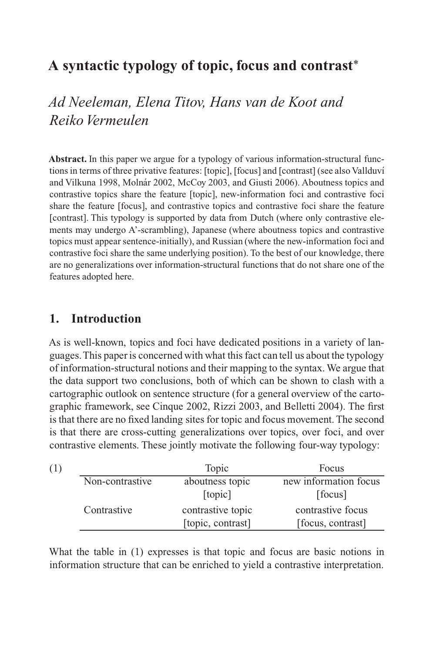## **A syntactic typology of topic, focus and contrast**<sup>∗</sup>

# *Ad Neeleman, Elena Titov, Hans van de Koot and Reiko Vermeulen*

**Abstract.** In this paper we argue for a typology of various information-structural functions in terms of three privative features: [topic], [focus] and [contrast] (see also Vallduví and Vilkuna 1998, Molnár 2002, McCoy 2003, and Giusti 2006). Aboutness topics and contrastive topics share the feature [topic], new-information foci and contrastive foci share the feature [focus], and contrastive topics and contrastive foci share the feature [contrast]. This typology is supported by data from Dutch (where only contrastive elements may undergo A'-scrambling), Japanese (where aboutness topics and contrastive topics must appear sentence-initially), and Russian (where the new-information foci and contrastive foci share the same underlying position). To the best of our knowledge, there are no generalizations over information-structural functions that do not share one of the features adopted here.

### **1. Introduction**

As is well-known, topics and foci have dedicated positions in a variety of languages.This paper is concerned with what this fact can tell us about the typology of information-structural notions and their mapping to the syntax.We argue that the data support two conclusions, both of which can be shown to clash with a cartographic outlook on sentence structure (for a general overview of the cartographic framework, see Cinque 2002, Rizzi 2003, and Belletti 2004). The first is that there are no fixed landing sites for topic and focus movement. The second is that there are cross-cutting generalizations over topics, over foci, and over contrastive elements. These jointly motivate the following four-way typology:

| (1) |                 | Topic             | Focus                 |
|-----|-----------------|-------------------|-----------------------|
|     | Non-contrastive | aboutness topic   | new information focus |
|     |                 | [topic]           | [focus]               |
|     | Contrastive     | contrastive topic | contrastive focus     |
|     |                 | [topic, contrast] | [focus, contrast]     |
|     |                 |                   |                       |

What the table in (1) expresses is that topic and focus are basic notions in information structure that can be enriched to yield a contrastive interpretation.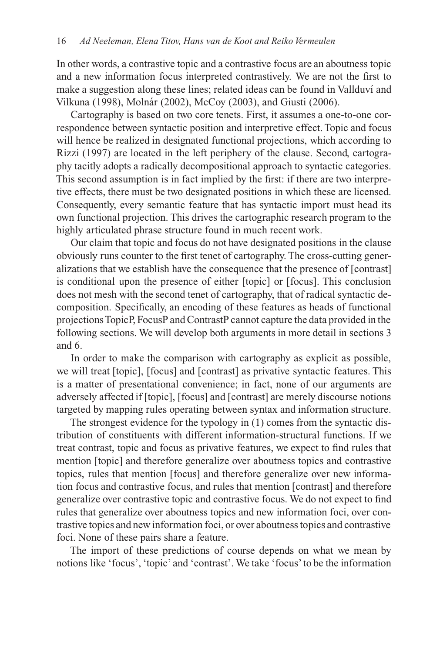In other words, a contrastive topic and a contrastive focus are an aboutness topic and a new information focus interpreted contrastively. We are not the first to make a suggestion along these lines; related ideas can be found in Vallduví and Vilkuna (1998), Moln´ar (2002), McCoy (2003), and Giusti (2006).

Cartography is based on two core tenets. First, it assumes a one-to-one correspondence between syntactic position and interpretive effect. Topic and focus will hence be realized in designated functional projections, which according to Rizzi (1997) are located in the left periphery of the clause. Second, cartography tacitly adopts a radically decompositional approach to syntactic categories. This second assumption is in fact implied by the first: if there are two interpretive effects, there must be two designated positions in which these are licensed. Consequently, every semantic feature that has syntactic import must head its own functional projection. This drives the cartographic research program to the highly articulated phrase structure found in much recent work.

Our claim that topic and focus do not have designated positions in the clause obviously runs counter to the first tenet of cartography. The cross-cutting generalizations that we establish have the consequence that the presence of [contrast] is conditional upon the presence of either [topic] or [focus]. This conclusion does not mesh with the second tenet of cartography, that of radical syntactic decomposition. Specifically, an encoding of these features as heads of functional projectionsTopicP, FocusP and ContrastP cannot capture the data provided in the following sections. We will develop both arguments in more detail in sections 3 and 6.

In order to make the comparison with cartography as explicit as possible, we will treat [topic], [focus] and [contrast] as privative syntactic features. This is a matter of presentational convenience; in fact, none of our arguments are adversely affected if [topic], [focus] and [contrast] are merely discourse notions targeted by mapping rules operating between syntax and information structure.

The strongest evidence for the typology in (1) comes from the syntactic distribution of constituents with different information-structural functions. If we treat contrast, topic and focus as privative features, we expect to find rules that mention [topic] and therefore generalize over aboutness topics and contrastive topics, rules that mention [focus] and therefore generalize over new information focus and contrastive focus, and rules that mention [contrast] and therefore generalize over contrastive topic and contrastive focus. We do not expect to find rules that generalize over aboutness topics and new information foci, over contrastive topics and new information foci, or over aboutness topics and contrastive foci. None of these pairs share a feature.

The import of these predictions of course depends on what we mean by notions like 'focus', 'topic' and 'contrast'. We take 'focus' to be the information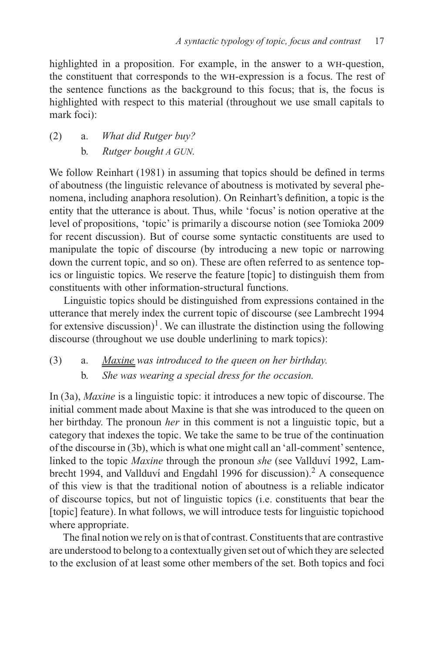highlighted in a proposition. For example, in the answer to a wh-question, the constituent that corresponds to the wh-expression is a focus. The rest of the sentence functions as the background to this focus; that is, the focus is highlighted with respect to this material (throughout we use small capitals to mark foci):

(2) a. *What did Rutger buy?* b. *Rutger bought A GUN.*

We follow Reinhart (1981) in assuming that topics should be defined in terms of aboutness (the linguistic relevance of aboutness is motivated by several phenomena, including anaphora resolution). On Reinhart's definition, a topic is the entity that the utterance is about. Thus, while 'focus' is notion operative at the level of propositions, 'topic' is primarily a discourse notion (see Tomioka 2009 for recent discussion). But of course some syntactic constituents are used to manipulate the topic of discourse (by introducing a new topic or narrowing down the current topic, and so on). These are often referred to as sentence topics or linguistic topics. We reserve the feature [topic] to distinguish them from constituents with other information-structural functions.

Linguistic topics should be distinguished from expressions contained in the utterance that merely index the current topic of discourse (see Lambrecht 1994 for extensive discussion)<sup>1</sup>. We can illustrate the distinction using the following discourse (throughout we use double underlining to mark topics):

(3) a. *Maxine was introduced to the queen on her birthday.* b. *She was wearing a special dress for the occasion.*

In (3a), *Maxine* is a linguistic topic: it introduces a new topic of discourse. The initial comment made about Maxine is that she was introduced to the queen on her birthday. The pronoun *her* in this comment is not a linguistic topic, but a category that indexes the topic. We take the same to be true of the continuation of the discourse in (3b), which is what one might call an 'all-comment' sentence, linked to the topic *Maxine* through the pronoun *she* (see Vallduví 1992, Lambrecht 1994, and Vallduví and Engdahl 1996 for discussion).<sup>2</sup> A consequence of this view is that the traditional notion of aboutness is a reliable indicator of discourse topics, but not of linguistic topics (i.e. constituents that bear the [topic] feature). In what follows, we will introduce tests for linguistic topichood where appropriate.

The final notion we rely on is that of contrast. Constituents that are contrastive are understood to belong to a contextually given set out of which they are selected to the exclusion of at least some other members of the set. Both topics and foci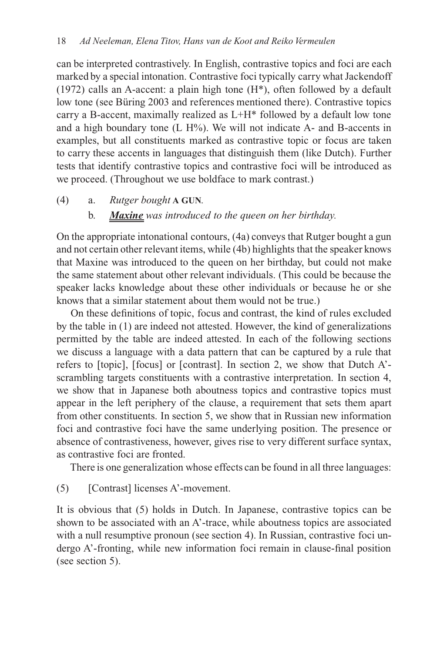can be interpreted contrastively. In English, contrastive topics and foci are each marked by a special intonation. Contrastive foci typically carry what Jackendoff (1972) calls an A-accent: a plain high tone (H\*), often followed by a default low tone (see Büring 2003 and references mentioned there). Contrastive topics carry a B-accent, maximally realized as L+H\* followed by a default low tone and a high boundary tone  $(L H<sup>o</sup>)$ . We will not indicate A- and B-accents in examples, but all constituents marked as contrastive topic or focus are taken to carry these accents in languages that distinguish them (like Dutch). Further tests that identify contrastive topics and contrastive foci will be introduced as we proceed. (Throughout we use boldface to mark contrast.)

(4) a. *Rutger bought* **A GUN***.*

### b. *Maxine was introduced to the queen on her birthday.*

On the appropriate intonational contours, (4a) conveys that Rutger bought a gun and not certain other relevant items, while (4b) highlights that the speaker knows that Maxine was introduced to the queen on her birthday, but could not make the same statement about other relevant individuals. (This could be because the speaker lacks knowledge about these other individuals or because he or she knows that a similar statement about them would not be true.)

On these definitions of topic, focus and contrast, the kind of rules excluded by the table in (1) are indeed not attested. However, the kind of generalizations permitted by the table are indeed attested. In each of the following sections we discuss a language with a data pattern that can be captured by a rule that refers to [topic], [focus] or [contrast]. In section 2, we show that Dutch A' scrambling targets constituents with a contrastive interpretation. In section 4, we show that in Japanese both aboutness topics and contrastive topics must appear in the left periphery of the clause, a requirement that sets them apart from other constituents. In section 5, we show that in Russian new information foci and contrastive foci have the same underlying position. The presence or absence of contrastiveness, however, gives rise to very different surface syntax, as contrastive foci are fronted.

There is one generalization whose effects can be found in all three languages:

(5) [Contrast] licenses A'-movement.

It is obvious that (5) holds in Dutch. In Japanese, contrastive topics can be shown to be associated with an A'-trace, while aboutness topics are associated with a null resumptive pronoun (see section 4). In Russian, contrastive foci undergo A'-fronting, while new information foci remain in clause-final position (see section 5).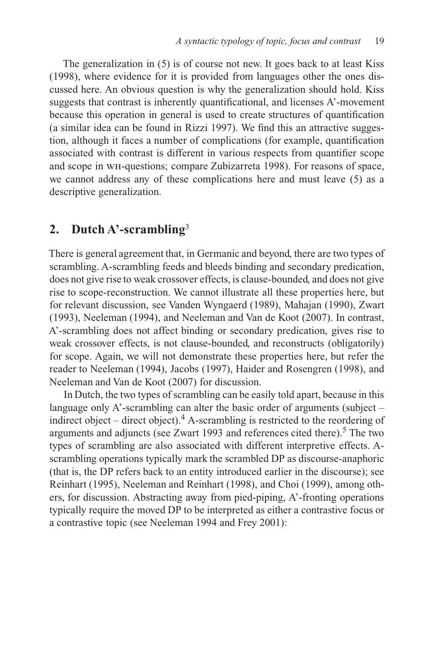The generalization in (5) is of course not new. It goes back to at least Kiss (1998), where evidence for it is provided from languages other the ones discussed here. An obvious question is why the generalization should hold. Kiss suggests that contrast is inherently quantificational, and licenses A'-movement because this operation in general is used to create structures of quantification (a similar idea can be found in Rizzi 1997). We find this an attractive suggestion, although it faces a number of complications (for example, quantification associated with contrast is different in various respects from quantifier scope and scope in wh-questions; compare Zubizarreta 1998). For reasons of space, we cannot address any of these complications here and must leave (5) as a descriptive generalization.

## **2. Dutch A'-scrambling**<sup>3</sup>

There is general agreement that, in Germanic and beyond, there are two types of scrambling. A-scrambling feeds and bleeds binding and secondary predication, does not give rise to weak crossover effects, is clause-bounded, and does not give rise to scope-reconstruction. We cannot illustrate all these properties here, but for relevant discussion, see Vanden Wyngaerd (1989), Mahajan (1990), Zwart (1993), Neeleman (1994), and Neeleman and Van de Koot (2007). In contrast, A'-scrambling does not affect binding or secondary predication, gives rise to weak crossover effects, is not clause-bounded, and reconstructs (obligatorily) for scope. Again, we will not demonstrate these properties here, but refer the reader to Neeleman (1994), Jacobs (1997), Haider and Rosengren (1998), and Neeleman and Van de Koot (2007) for discussion.

In Dutch, the two types of scrambling can be easily told apart, because in this language only A'-scrambling can alter the basic order of arguments (subject – indirect object – direct object).<sup>4</sup> A-scrambling is restricted to the reordering of arguments and adjuncts (see Zwart 1993 and references cited there).<sup>5</sup> The two types of scrambling are also associated with different interpretive effects. Ascrambling operations typically mark the scrambled DP as discourse-anaphoric (that is, the DP refers back to an entity introduced earlier in the discourse); see Reinhart (1995), Neeleman and Reinhart (1998), and Choi (1999), among others, for discussion. Abstracting away from pied-piping, A'-fronting operations typically require the moved DP to be interpreted as either a contrastive focus or a contrastive topic (see Neeleman 1994 and Frey 2001):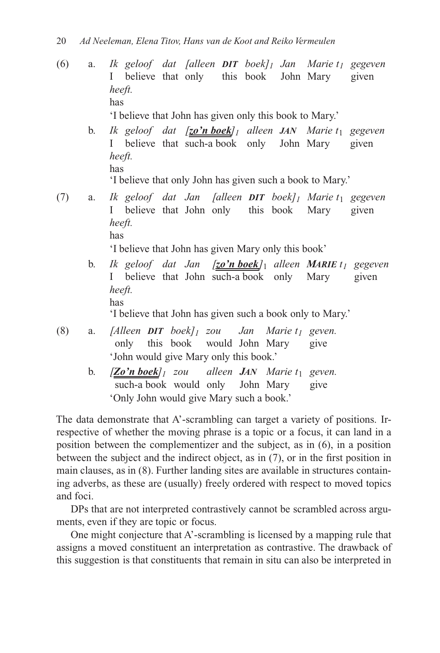*heeft.*

(6) a. *Ik* I believe that only *geloof dat [alleen DIT boek]1 Jan Marie t1 gegeven* this book John Mary given *heeft.* has 'I believe that John has given only this book to Mary.' b. *Ik geloof dat [zo'n boek]1 alleen JAN Marie t*<sup>1</sup> *gegeven* I believe that such-a book only John Mary given

> has 'I believe that only John has given such a book to Mary.'

 $(7)$  a. I believe that John only this book Mary *geloof dat Jan [alleen DIT boek]1 Marie t*<sup>1</sup> *gegeven* given *heeft.* has 'I believe that John has given Mary only this book'

> b. *Ik geloof dat Jan [zo'n boek]*<sup>1</sup> *alleen MARIE t1 gegeven* I believe that John such-a book only Mary given *heeft.* has

'I believe that John has given such a book only to Mary.'

- (8) a. *[Alleen DIT boek]1 zou* only this book would John Mary *Jan Marie t1 geven.* give 'John would give Mary only this book.'
	- b. *[Zo'n boek]1 zou alleen JAN Marie t*<sup>1</sup> *geven.* such-a book would only John Mary give 'Only John would give Mary such a book.'

The data demonstrate that A'-scrambling can target a variety of positions. Irrespective of whether the moving phrase is a topic or a focus, it can land in a position between the complementizer and the subject, as in (6), in a position between the subject and the indirect object, as in (7), or in the first position in main clauses, as in (8). Further landing sites are available in structures containing adverbs, as these are (usually) freely ordered with respect to moved topics and foci.

DPs that are not interpreted contrastively cannot be scrambled across arguments, even if they are topic or focus.

One might conjecture that A'-scrambling is licensed by a mapping rule that assigns a moved constituent an interpretation as contrastive. The drawback of this suggestion is that constituents that remain in situ can also be interpreted in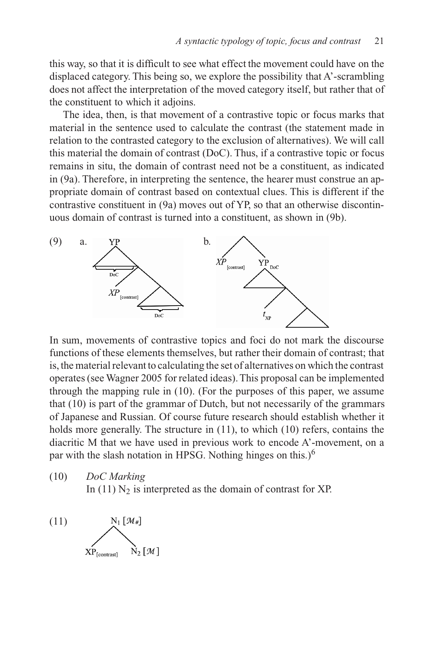this way, so that it is difficult to see what effect the movement could have on the displaced category. This being so, we explore the possibility that A'-scrambling does not affect the interpretation of the moved category itself, but rather that of the constituent to which it adjoins.

The idea, then, is that movement of a contrastive topic or focus marks that material in the sentence used to calculate the contrast (the statement made in relation to the contrasted category to the exclusion of alternatives). We will call this material the domain of contrast (DoC). Thus, if a contrastive topic or focus remains in situ, the domain of contrast need not be a constituent, as indicated in (9a). Therefore, in interpreting the sentence, the hearer must construe an appropriate domain of contrast based on contextual clues. This is different if the contrastive constituent in (9a) moves out of YP, so that an otherwise discontinuous domain of contrast is turned into a constituent, as shown in (9b).



In sum, movements of contrastive topics and foci do not mark the discourse functions of these elements themselves, but rather their domain of contrast; that is, the material relevant to calculating the set of alternatives on which the contrast operates (see Wagner 2005 for related ideas). This proposal can be implemented through the mapping rule in (10). (For the purposes of this paper, we assume that (10) is part of the grammar of Dutch, but not necessarily of the grammars of Japanese and Russian. Of course future research should establish whether it holds more generally. The structure in (11), to which (10) refers, contains the diacritic M that we have used in previous work to encode A'-movement, on a par with the slash notation in HPSG. Nothing hinges on this.)<sup>6</sup>

(10) *DoC Marking* In (11)  $N_2$  is interpreted as the domain of contrast for XP.

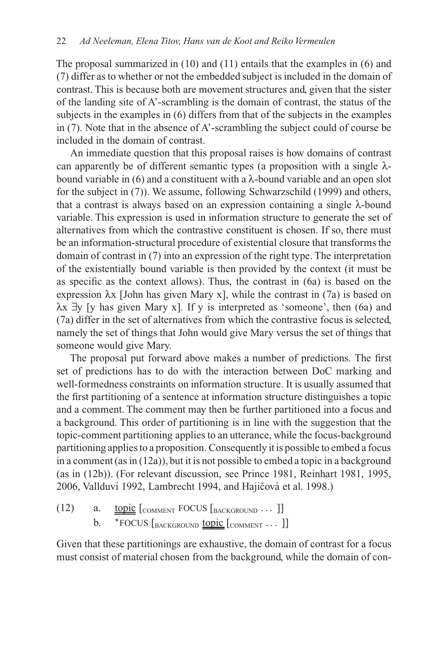The proposal summarized in (10) and (11) entails that the examples in (6) and (7) differ as to whether or not the embedded subject is included in the domain of contrast. This is because both are movement structures and, given that the sister of the landing site of A'-scrambling is the domain of contrast, the status of the subjects in the examples in (6) differs from that of the subjects in the examples in (7). Note that in the absence of A'-scrambling the subject could of course be included in the domain of contrast.

An immediate question that this proposal raises is how domains of contrast can apparently be of different semantic types (a proposition with a single  $\lambda$ bound variable in  $(6)$  and a constituent with a  $\lambda$ -bound variable and an open slot for the subject in (7)). We assume, following Schwarzschild (1999) and others, that a contrast is always based on an expression containing a single λ-bound variable. This expression is used in information structure to generate the set of alternatives from which the contrastive constituent is chosen. If so, there must be an information-structural procedure of existential closure that transforms the domain of contrast in (7) into an expression of the right type. The interpretation of the existentially bound variable is then provided by the context (it must be as specific as the context allows). Thus, the contrast in (6a) is based on the expression  $\lambda x$  [John has given Mary x], while the contrast in (7a) is based on  $\lambda$ x  $\exists$ y [y has given Mary x]. If y is interpreted as 'someone', then (6a) and (7a) differ in the set of alternatives from which the contrastive focus is selected, namely the set of things that John would give Mary versus the set of things that someone would give Mary.

The proposal put forward above makes a number of predictions. The first set of predictions has to do with the interaction between DoC marking and well-formedness constraints on information structure. It is usually assumed that the first partitioning of a sentence at information structure distinguishes a topic and a comment. The comment may then be further partitioned into a focus and a background. This order of partitioning is in line with the suggestion that the topic-comment partitioning applies to an utterance, while the focus-background partitioning applies to a proposition. Consequently it is possible to embed a focus in a comment (as in  $(12a)$ ), but it is not possible to embed a topic in a background (as in (12b)). (For relevant discussion, see Prince 1981, Reinhart 1981, 1995, 2006, Vallduví 1992, Lambrecht 1994, and Hajičová et al. 1998.)

(12) a. topic  $\begin{bmatrix} \text{COMMENT} & \text{FOCUS} & \text{BACKGROUND} & \cdots & \text{]} \end{bmatrix}$ b.  $*$  FOCUS  $\lceil_{\text{RACKGROUND}}$  topic  $\lceil_{\text{COMMENT}} \dots \rceil$ ]

Given that these partitionings are exhaustive, the domain of contrast for a focus must consist of material chosen from the background, while the domain of con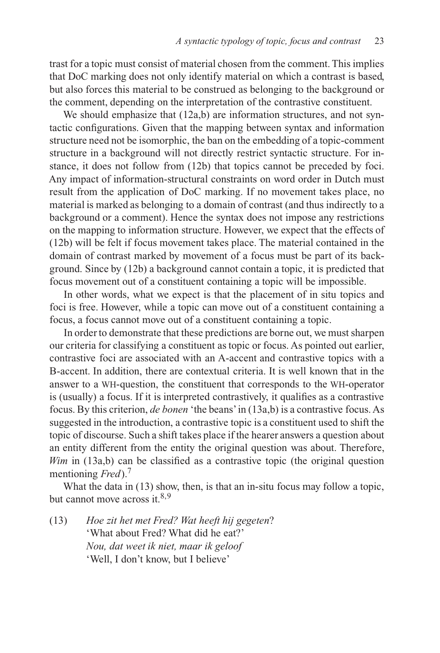trast for a topic must consist of material chosen from the comment. This implies that DoC marking does not only identify material on which a contrast is based, but also forces this material to be construed as belonging to the background or the comment, depending on the interpretation of the contrastive constituent.

We should emphasize that (12a,b) are information structures, and not syntactic configurations. Given that the mapping between syntax and information structure need not be isomorphic, the ban on the embedding of a topic-comment structure in a background will not directly restrict syntactic structure. For instance, it does not follow from (12b) that topics cannot be preceded by foci. Any impact of information-structural constraints on word order in Dutch must result from the application of DoC marking. If no movement takes place, no material is marked as belonging to a domain of contrast (and thus indirectly to a background or a comment). Hence the syntax does not impose any restrictions on the mapping to information structure. However, we expect that the effects of (12b) will be felt if focus movement takes place. The material contained in the domain of contrast marked by movement of a focus must be part of its background. Since by (12b) a background cannot contain a topic, it is predicted that focus movement out of a constituent containing a topic will be impossible.

In other words, what we expect is that the placement of in situ topics and foci is free. However, while a topic can move out of a constituent containing a focus, a focus cannot move out of a constituent containing a topic.

In order to demonstrate that these predictions are borne out, we must sharpen our criteria for classifying a constituent as topic or focus. As pointed out earlier, contrastive foci are associated with an A-accent and contrastive topics with a B-accent. In addition, there are contextual criteria. It is well known that in the answer to a WH-question, the constituent that corresponds to the WH-operator is (usually) a focus. If it is interpreted contrastively, it qualifies as a contrastive focus. By this criterion, *de bonen* 'the beans'in (13a,b) is a contrastive focus. As suggested in the introduction, a contrastive topic is a constituent used to shift the topic of discourse. Such a shift takes place if the hearer answers a question about an entity different from the entity the original question was about. Therefore, *Wim* in (13a,b) can be classified as a contrastive topic (the original question mentioning *Fred*).7

What the data in (13) show, then, is that an in-situ focus may follow a topic, but cannot move across it.<sup>8,9</sup>

(13) *Hoe zit het met Fred? Wat heeft hij gegeten*? 'What about Fred? What did he eat?' *Nou, dat weet ik niet, maar ik geloof* 'Well, I don't know, but I believe'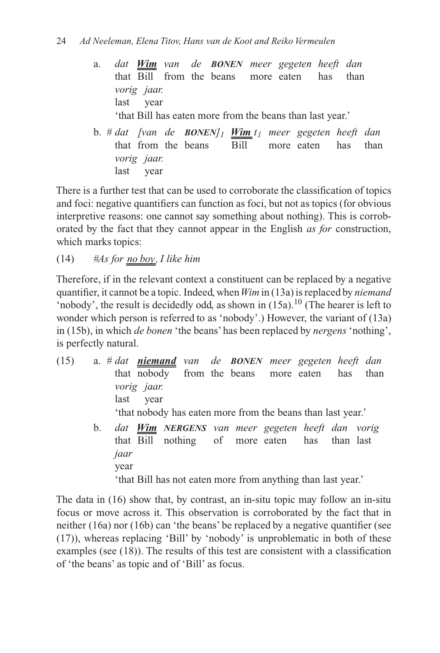- a. *dat Wim van de BONEN meer gegeten heeft dan* that Bill from the beans more eaten has than *vorig jaar.* last year 'that Bill has eaten more from the beans than last year.'
- b. # *dat [van de BONEN]1 Wim t1 meer gegeten heeft dan* that from the beans Bill more eaten has than *vorig jaar.* last year

There is a further test that can be used to corroborate the classification of topics and foci: negative quantifiers can function as foci, but not as topics (for obvious interpretive reasons: one cannot say something about nothing). This is corroborated by the fact that they cannot appear in the English *as for* construction, which marks topics:

(14) *#As for no boy, I like him*

Therefore, if in the relevant context a constituent can be replaced by a negative quantifier, it cannot be a topic. Indeed, when*Wim* in (13a) is replaced by *niemand* 'nobody', the result is decidedly odd, as shown in  $(15a)$ .<sup>10</sup> (The hearer is left to wonder which person is referred to as 'nobody'.) However, the variant of (13a) in (15b), in which *de bonen* 'the beans' has been replaced by *nergens* 'nothing', is perfectly natural.

- (15) a. # *dat niemand van de BONEN meer gegeten heeft dan* that nobody from the beans more eaten has than *vorig jaar.* last year 'that nobody has eaten more from the beans than last year.'
	- b. *dat Wim NERGENS van meer gegeten heeft dan vorig* that Bill nothing of more eaten has than last *jaar* year 'that Bill has not eaten more from anything than last year.'

The data in (16) show that, by contrast, an in-situ topic may follow an in-situ focus or move across it. This observation is corroborated by the fact that in neither (16a) nor (16b) can 'the beans' be replaced by a negative quantifier (see (17)), whereas replacing 'Bill' by 'nobody' is unproblematic in both of these examples (see (18)). The results of this test are consistent with a classification of 'the beans' as topic and of 'Bill' as focus.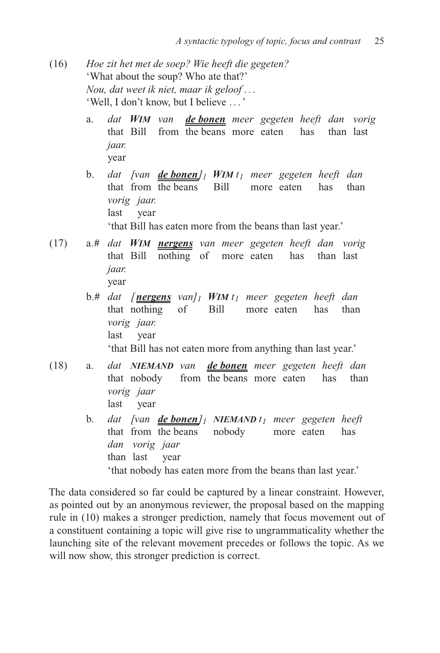- (16) *Hoe zit het met de soep? Wie heeft die gegeten?* 'What about the soup? Who ate that?' *Nou, dat weet ik niet, maar ik geloof . . .* 'Well, I don't know, but I believe ...'
	- a. *dat WIM van de bonen meer gegeten heeft dan vorig* that Bill from the beans more eaten has than last *jaar.* year
	- b. *dat [van de bonen]1 WIM t1 meer gegeten heeft dan* that from the beans Bill more eaten has than *vorig jaar.* last year 'that Bill has eaten more from the beans than last year.'
- (17) a.# *dat WIM nergens van meer gegeten heeft dan vorig* that Bill nothing of more eaten has than last *jaar.* year
	- b.# *dat [ nergens van]1 WIM t1 meer gegeten heeft dan* that nothing of Bill more eaten has than *vorig jaar.* last year 'that Bill has not eaten more from anything than last year.'
- $(18)$  a. that nobody *NIEMAND van de bonen meer gegeten heeft dan* from the beans more eaten has than *vorig jaar* last year
	- b. *dat [van de bonen]1 NIEMAND t1 meer gegeten heeft* that from the beans nobody more eaten has *dan vorig jaar* than last year 'that nobody has eaten more from the beans than last year.'

The data considered so far could be captured by a linear constraint. However, as pointed out by an anonymous reviewer, the proposal based on the mapping rule in (10) makes a stronger prediction, namely that focus movement out of a constituent containing a topic will give rise to ungrammaticality whether the launching site of the relevant movement precedes or follows the topic. As we will now show, this stronger prediction is correct.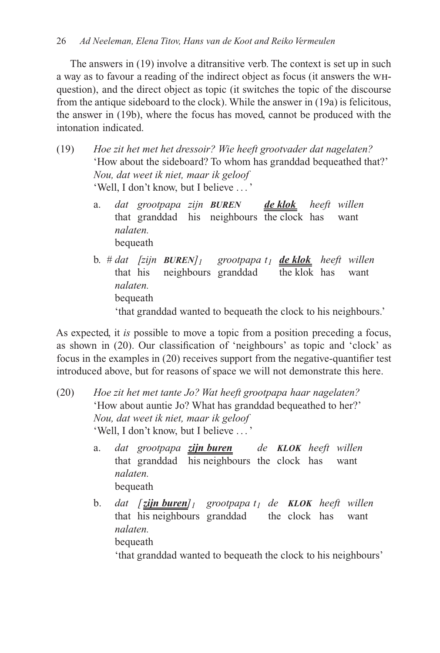The answers in (19) involve a ditransitive verb. The context is set up in such a way as to favour a reading of the indirect object as focus (it answers the whquestion), and the direct object as topic (it switches the topic of the discourse from the antique sideboard to the clock). While the answer in (19a) is felicitous, the answer in (19b), where the focus has moved, cannot be produced with the intonation indicated.

- (19) *Hoe zit het met het dressoir? Wie heeft grootvader dat nagelaten?* 'How about the sideboard? To whom has granddad bequeathed that?' *Nou, dat weet ik niet, maar ik geloof* 'Well, I don't know, but I believe ...'
	- a. *dat grootpapa zijn BUREN* that granddad his neighbours the clock has *de klok heeft willen* want *nalaten.* bequeath
	- b. # *dat [zijn BUREN]1 grootpapa t1 de klok heeft willen* that his neighbours granddad the klok has want *nalaten.* bequeath 'that granddad wanted to bequeath the clock to his neighbours.'

As expected, it *is* possible to move a topic from a position preceding a focus, as shown in (20). Our classification of 'neighbours' as topic and 'clock' as focus in the examples in (20) receives support from the negative-quantifier test introduced above, but for reasons of space we will not demonstrate this here.

- (20) *Hoe zit het met tante Jo? Wat heeft grootpapa haar nagelaten?* 'How about auntie Jo? What has granddad bequeathed to her?' *Nou, dat weet ik niet, maar ik geloof* 'Well, I don't know, but I believe ...'
	- a. *dat grootpapa zijn buren* that granddad his neighbours the clock has *de KLOK heeft willen* want *nalaten.* bequeath
	- b. *dat [zijn buren]1 grootpapa t1 de KLOK heeft willen* that his neighbours granddad the clock has want *nalaten.* bequeath

'that granddad wanted to bequeath the clock to his neighbours'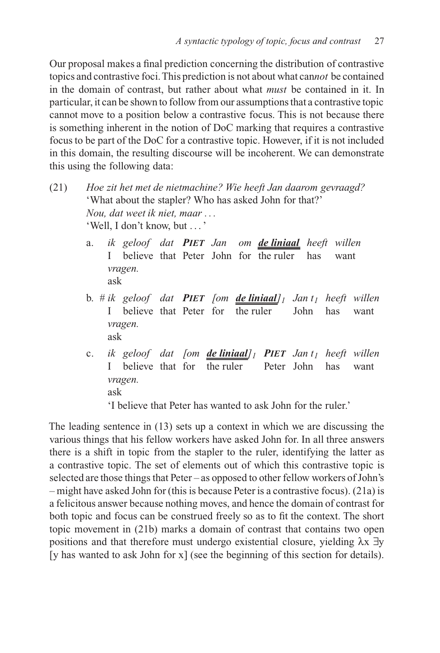Our proposal makes a final prediction concerning the distribution of contrastive topics and contrastive foci.This prediction is not about what can*not* be contained in the domain of contrast, but rather about what *must* be contained in it. In particular, it can be shown to follow from our assumptions that a contrastive topic cannot move to a position below a contrastive focus. This is not because there is something inherent in the notion of DoC marking that requires a contrastive focus to be part of the DoC for a contrastive topic. However, if it is not included in this domain, the resulting discourse will be incoherent. We can demonstrate this using the following data:

- (21) *Hoe zit het met de nietmachine? Wie heeft Jan daarom gevraagd?* 'What about the stapler? Who has asked John for that?' *Nou, dat weet ik niet, maar . . .* 'Well, I don't know, but ...'
	- a. *ik geloof dat PIET Jan om de liniaal heeft willen* I believe that Peter John for the ruler has want *vragen.* ask
	- b. # *ik geloof dat PIET [om de liniaal]1 Jan t1 heeft willen* I believe that Peter for the ruler John has want *vragen.* ask
	- c. *ik* I *geloof dat [om de liniaal]1 PIET Jan t1 heeft willen* believe that for the ruler Peter John has want *vragen.* ask

'I believe that Peter has wanted to ask John for the ruler.'

The leading sentence in (13) sets up a context in which we are discussing the various things that his fellow workers have asked John for. In all three answers there is a shift in topic from the stapler to the ruler, identifying the latter as a contrastive topic. The set of elements out of which this contrastive topic is selected are those things that Peter – as opposed to other fellow workers of John's – might have asked John for (this is because Peter is a contrastive focus). (21a) is a felicitous answer because nothing moves, and hence the domain of contrast for both topic and focus can be construed freely so as to fit the context. The short topic movement in (21b) marks a domain of contrast that contains two open positions and that therefore must undergo existential closure, yielding  $\lambda x \exists y$ [y has wanted to ask John for x] (see the beginning of this section for details).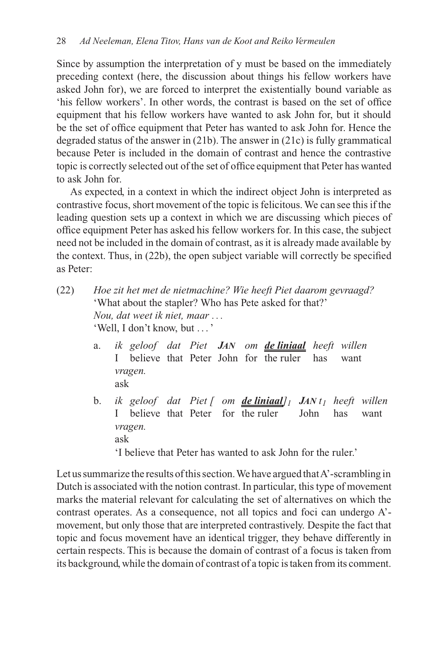Since by assumption the interpretation of y must be based on the immediately preceding context (here, the discussion about things his fellow workers have asked John for), we are forced to interpret the existentially bound variable as 'his fellow workers'. In other words, the contrast is based on the set of office equipment that his fellow workers have wanted to ask John for, but it should be the set of office equipment that Peter has wanted to ask John for. Hence the degraded status of the answer in (21b). The answer in (21c) is fully grammatical because Peter is included in the domain of contrast and hence the contrastive topic is correctly selected out of the set of office equipment that Peter has wanted to ask John for.

As expected, in a context in which the indirect object John is interpreted as contrastive focus, short movement of the topic is felicitous.We can see this if the leading question sets up a context in which we are discussing which pieces of office equipment Peter has asked his fellow workers for. In this case, the subject need not be included in the domain of contrast, as it is already made available by the context. Thus, in (22b), the open subject variable will correctly be specified as Peter:

- (22) *Hoe zit het met de nietmachine? Wie heeft Piet daarom gevraagd?* 'What about the stapler? Who has Pete asked for that?' *Nou, dat weet ik niet, maar . . .* 'Well, I don't know, but ...'
	- a. *ik geloof dat Piet JAN om de liniaal heeft willen* I believe that Peter John for the ruler has want *vragen.* ask
	- b. *ik* I believe that Peter for the ruler *geloof dat Piet [ om de liniaal]1 JAN t1 heeft willen* John has want *vragen.* ask

'I believe that Peter has wanted to ask John for the ruler.'

Let us summarize the results of this section. We have argued that  $A'$ -scrambling in Dutch is associated with the notion contrast. In particular, this type of movement marks the material relevant for calculating the set of alternatives on which the contrast operates. As a consequence, not all topics and foci can undergo A' movement, but only those that are interpreted contrastively. Despite the fact that topic and focus movement have an identical trigger, they behave differently in certain respects. This is because the domain of contrast of a focus is taken from its background, while the domain of contrast of a topic is taken from its comment.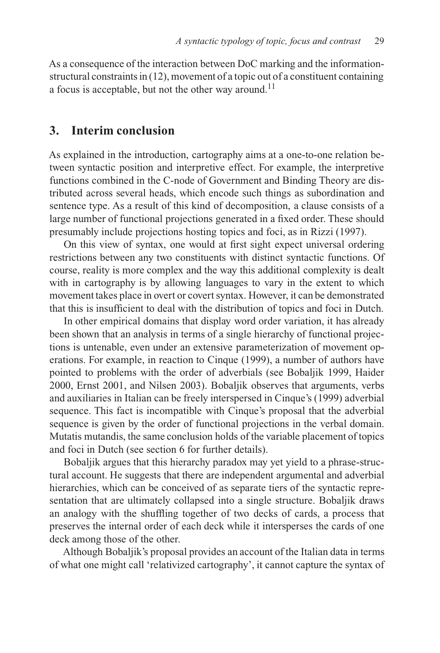As a consequence of the interaction between DoC marking and the informationstructural constraints in (12), movement of a topic out of a constituent containing a focus is acceptable, but not the other way around.<sup>11</sup>

### **3. Interim conclusion**

As explained in the introduction, cartography aims at a one-to-one relation between syntactic position and interpretive effect. For example, the interpretive functions combined in the C-node of Government and Binding Theory are distributed across several heads, which encode such things as subordination and sentence type. As a result of this kind of decomposition, a clause consists of a large number of functional projections generated in a fixed order. These should presumably include projections hosting topics and foci, as in Rizzi (1997).

On this view of syntax, one would at first sight expect universal ordering restrictions between any two constituents with distinct syntactic functions. Of course, reality is more complex and the way this additional complexity is dealt with in cartography is by allowing languages to vary in the extent to which movement takes place in overt or covert syntax. However, it can be demonstrated that this is insufficient to deal with the distribution of topics and foci in Dutch.

In other empirical domains that display word order variation, it has already been shown that an analysis in terms of a single hierarchy of functional projections is untenable, even under an extensive parameterization of movement operations. For example, in reaction to Cinque (1999), a number of authors have pointed to problems with the order of adverbials (see Bobaljik 1999, Haider 2000, Ernst 2001, and Nilsen 2003). Bobaljik observes that arguments, verbs and auxiliaries in Italian can be freely interspersed in Cinque's (1999) adverbial sequence. This fact is incompatible with Cinque's proposal that the adverbial sequence is given by the order of functional projections in the verbal domain. Mutatis mutandis, the same conclusion holds of the variable placement of topics and foci in Dutch (see section 6 for further details).

Bobaljik argues that this hierarchy paradox may yet yield to a phrase-structural account. He suggests that there are independent argumental and adverbial hierarchies, which can be conceived of as separate tiers of the syntactic representation that are ultimately collapsed into a single structure. Bobaljik draws an analogy with the shuffling together of two decks of cards, a process that preserves the internal order of each deck while it intersperses the cards of one deck among those of the other.

Although Bobaljik's proposal provides an account of the Italian data in terms of what one might call 'relativized cartography', it cannot capture the syntax of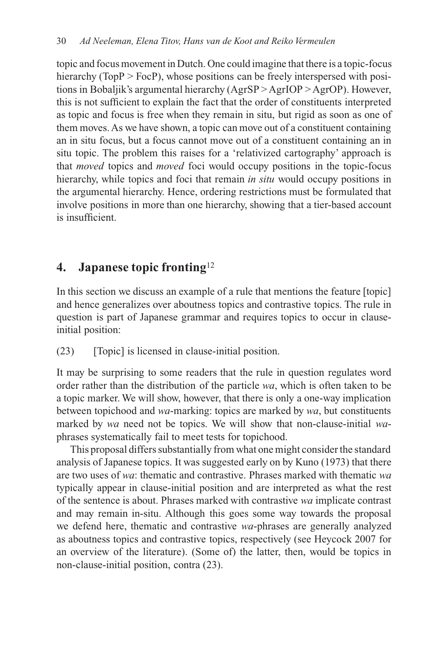topic and focus movement in Dutch. One could imagine that there is a topic-focus hierarchy (TopP > FocP), whose positions can be freely interspersed with positions in Bobaljik's argumental hierarchy (AgrSP > AgrIOP > AgrOP). However, this is not sufficient to explain the fact that the order of constituents interpreted as topic and focus is free when they remain in situ, but rigid as soon as one of them moves. As we have shown, a topic can move out of a constituent containing an in situ focus, but a focus cannot move out of a constituent containing an in situ topic. The problem this raises for a 'relativized cartography' approach is that *moved* topics and *moved* foci would occupy positions in the topic-focus hierarchy, while topics and foci that remain *in situ* would occupy positions in the argumental hierarchy. Hence, ordering restrictions must be formulated that involve positions in more than one hierarchy, showing that a tier-based account is insufficient.

## **4. Japanese topic fronting**<sup>12</sup>

In this section we discuss an example of a rule that mentions the feature [topic] and hence generalizes over aboutness topics and contrastive topics. The rule in question is part of Japanese grammar and requires topics to occur in clauseinitial position:

(23) [Topic] is licensed in clause-initial position.

It may be surprising to some readers that the rule in question regulates word order rather than the distribution of the particle *wa*, which is often taken to be a topic marker.We will show, however, that there is only a one-way implication between topichood and *wa*-marking: topics are marked by *wa*, but constituents marked by *wa* need not be topics. We will show that non-clause-initial *wa*phrases systematically fail to meet tests for topichood.

This proposal differs substantially from what one might consider the standard analysis of Japanese topics. It was suggested early on by Kuno (1973) that there are two uses of *wa*: thematic and contrastive. Phrases marked with thematic *wa* typically appear in clause-initial position and are interpreted as what the rest of the sentence is about. Phrases marked with contrastive *wa* implicate contrast and may remain in-situ. Although this goes some way towards the proposal we defend here, thematic and contrastive *wa*-phrases are generally analyzed as aboutness topics and contrastive topics, respectively (see Heycock 2007 for an overview of the literature). (Some of) the latter, then, would be topics in non-clause-initial position, contra (23).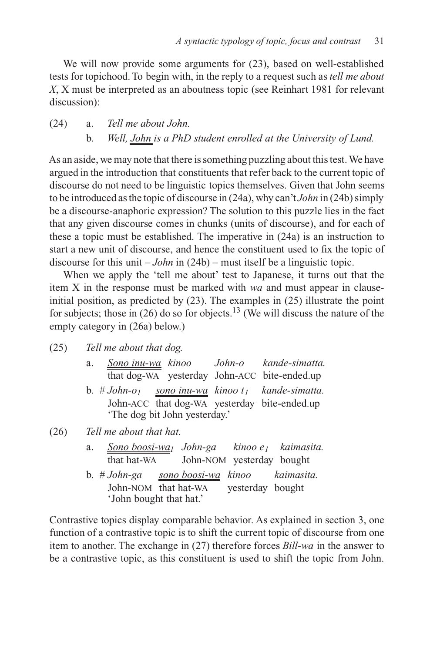We will now provide some arguments for (23), based on well-established tests for topichood. To begin with, in the reply to a request such as*tell me about X*, X must be interpreted as an aboutness topic (see Reinhart 1981 for relevant discussion):

- (24) a. *Tell me about John.*
	- b. *Well, John is a PhD student enrolled at the University of Lund.*

As an aside, we may note that there is something puzzling about this test.We have argued in the introduction that constituents that refer back to the current topic of discourse do not need to be linguistic topics themselves. Given that John seems to be introduced as the topic of discourse in (24a), why can't *John* in (24b) simply be a discourse-anaphoric expression? The solution to this puzzle lies in the fact that any given discourse comes in chunks (units of discourse), and for each of these a topic must be established. The imperative in (24a) is an instruction to start a new unit of discourse, and hence the constituent used to fix the topic of discourse for this unit – *John* in (24b) – must itself be a linguistic topic.

When we apply the 'tell me about' test to Japanese, it turns out that the item X in the response must be marked with *wa* and must appear in clauseinitial position, as predicted by (23). The examples in (25) illustrate the point for subjects; those in (26) do so for objects.<sup>13</sup> (We will discuss the nature of the empty category in (26a) below.)

(25) *Tell me about that dog.*

| a. |                                                                |  | <b>Sono inu-wa</b> kinoo John-o kande-simatta. |
|----|----------------------------------------------------------------|--|------------------------------------------------|
|    |                                                                |  | that dog-WA yesterday John-ACC bite-ended.up   |
|    | b. # John- $o_1$ <u>sono inu-wa</u> kinoo $t_1$ kande-simatta. |  |                                                |
|    | 'The dog bit John yesterday.'                                  |  | John-ACC that dog-WA yesterday bite-ended.up   |
|    | Tell me about that hat.                                        |  |                                                |

- $(26)$ 
	- a. *Sono boosi-wa1* that hat-WA *John-ga* John-NOM yesterday bought *kinoo e1 kaimasita.*
	- b. # *John-ga* John-NOM that hat-WA *sono boosi-wa kinoo* yesterday bought *kaimasita.* 'John bought that hat.'

Contrastive topics display comparable behavior. As explained in section 3, one function of a contrastive topic is to shift the current topic of discourse from one item to another. The exchange in (27) therefore forces *Bill-wa* in the answer to be a contrastive topic, as this constituent is used to shift the topic from John.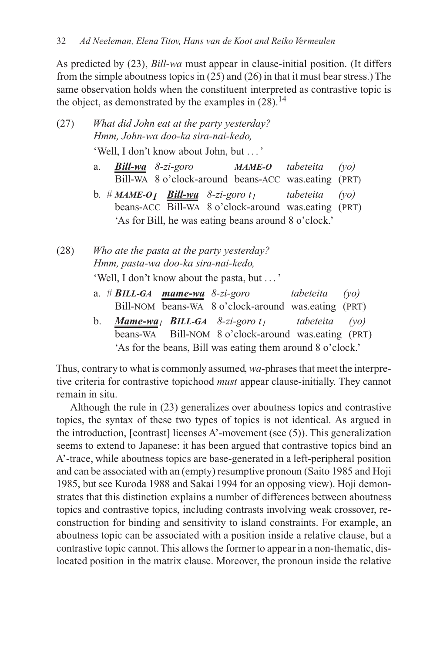As predicted by (23), *Bill-wa* must appear in clause-initial position. (It differs from the simple aboutness topics in (25) and (26) in that it must bear stress.) The same observation holds when the constituent interpreted as contrastive topic is the object, as demonstrated by the examples in  $(28)$ .<sup>14</sup>

(27) *What did John eat at the party yesterday? Hmm, John-wa doo-ka sira-nai-kedo,* 'Well, I don't know about John, but ...' a. *Bill-wa 8-zi-goro* Bill-WA 8 o'clock-around beans-ACC was.eating (PRT) *MAME-O tabeteita (yo)* b. # *MAME-O1 Bill-wa 8-zi-goro t1 tabeteita (yo)*

beans-ACC Bill-WA 8 o'clock-around was.eating (PRT) 'As for Bill, he was eating beans around 8 o'clock.'

(28) *Who ate the pasta at the party yesterday? Hmm, pasta-wa doo-ka sira-nai-kedo,* 'Well, I don't know about the pasta, but ...'

- a. # *BILL-GA mame-wa 8-zi-goro* Bill-NOM beans-WA 8 o'clock-around was.eating (PRT) *tabeteita (yo)*
- b. *Mame-wa<sup>1</sup> BILL-GA 8-zi-goro t1* beans-WA Bill-NOM 8 o'clock-around was.eating (PRT) *tabeteita (yo)* 'As for the beans, Bill was eating them around 8 o'clock.'

Thus, contrary to what is commonly assumed, *wa-*phrases that meet the interpretive criteria for contrastive topichood *must* appear clause-initially. They cannot remain in situ.

Although the rule in (23) generalizes over aboutness topics and contrastive topics, the syntax of these two types of topics is not identical. As argued in the introduction, [contrast] licenses A'-movement (see (5)). This generalization seems to extend to Japanese: it has been argued that contrastive topics bind an A'-trace, while aboutness topics are base-generated in a left-peripheral position and can be associated with an (empty) resumptive pronoun (Saito 1985 and Hoji 1985, but see Kuroda 1988 and Sakai 1994 for an opposing view). Hoji demonstrates that this distinction explains a number of differences between aboutness topics and contrastive topics, including contrasts involving weak crossover, reconstruction for binding and sensitivity to island constraints. For example, an aboutness topic can be associated with a position inside a relative clause, but a contrastive topic cannot. This allows the former to appear in a non-thematic, dislocated position in the matrix clause. Moreover, the pronoun inside the relative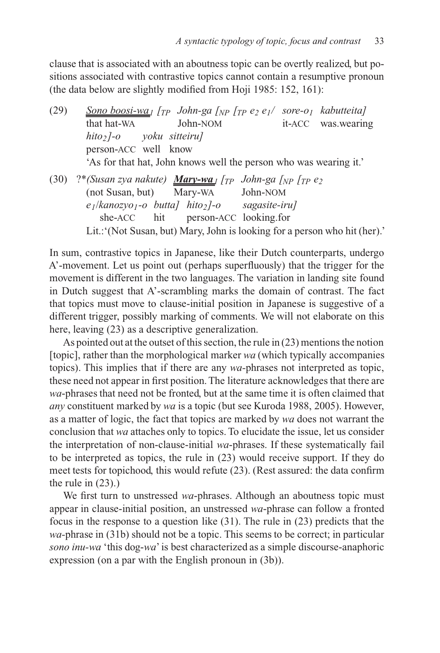clause that is associated with an aboutness topic can be overtly realized, but positions associated with contrastive topics cannot contain a resumptive pronoun (the data below are slightly modified from Hoji 1985: 152, 161):

(29) *Sono boosi-wa1 [TP John-ga [NP [TP e2 e1/ sore-o1 kabutteita]* that hat-WA John-NOM it-ACC was.wearing  $hito<sub>2</sub>$ *]*-o person-ACC well know *yoku sitteiru]* 'As for that hat, John knows well the person who was wearing it.'

(30) ?\**(Susan zya nakute) Mary-wa<sup>1</sup> [TP John-ga [NP [TP e2* (not Susan, but) Mary-WA John-NOM *e1*/*kanozyo1-o butta] hito2]-o* she-ACC hit person-ACC looking.for *sagasite-iru]* Lit.:'(Not Susan, but) Mary, John is looking for a person who hit (her).'

In sum, contrastive topics in Japanese, like their Dutch counterparts, undergo A'-movement. Let us point out (perhaps superfluously) that the trigger for the movement is different in the two languages. The variation in landing site found in Dutch suggest that A'-scrambling marks the domain of contrast. The fact that topics must move to clause-initial position in Japanese is suggestive of a different trigger, possibly marking of comments. We will not elaborate on this here, leaving (23) as a descriptive generalization.

As pointed out at the outset of this section, the rule in (23) mentions the notion [topic], rather than the morphological marker *wa* (which typically accompanies topics). This implies that if there are any *wa-*phrases not interpreted as topic, these need not appear in first position. The literature acknowledges that there are *wa*-phrases that need not be fronted, but at the same time it is often claimed that *any* constituent marked by *wa* is a topic (but see Kuroda 1988, 2005). However, as a matter of logic, the fact that topics are marked by *wa* does not warrant the conclusion that *wa* attaches only to topics. To elucidate the issue, let us consider the interpretation of non-clause-initial *wa*-phrases. If these systematically fail to be interpreted as topics, the rule in (23) would receive support. If they do meet tests for topichood, this would refute (23). (Rest assured: the data confirm the rule in (23).)

We first turn to unstressed *wa*-phrases. Although an aboutness topic must appear in clause-initial position, an unstressed *wa*-phrase can follow a fronted focus in the response to a question like (31). The rule in (23) predicts that the *wa-*phrase in (31b) should not be a topic. This seems to be correct; in particular *sono inu-wa* 'this dog-*wa*' is best characterized as a simple discourse-anaphoric expression (on a par with the English pronoun in (3b)).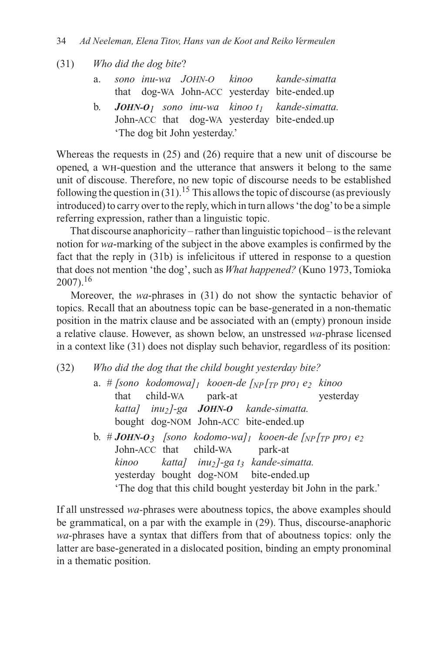#### (31) *Who did the dog bite*?

| a. |  |                               | sono inu-wa JOHN-O kinoo kande-simatta                            |
|----|--|-------------------------------|-------------------------------------------------------------------|
|    |  |                               | that dog-WA John-ACC yesterday bite-ended.up                      |
| b. |  |                               | <b>JOHN-O</b> <sub>1</sub> sono inu-wa kinoo $t_1$ kande-simatta. |
|    |  |                               | John-ACC that dog-WA yesterday bite-ended.up                      |
|    |  | 'The dog bit John yesterday.' |                                                                   |

Whereas the requests in (25) and (26) require that a new unit of discourse be opened, a wh-question and the utterance that answers it belong to the same unit of discouse. Therefore, no new topic of discourse needs to be established following the question in  $(31)$ .<sup>15</sup> This allows the topic of discourse (as previously introduced) to carry over to the reply, which in turn allows 'the dog'to be a simple referring expression, rather than a linguistic topic.

That discourse anaphoricity – rather than linguistic topichood – is the relevant notion for *wa*-marking of the subject in the above examples is confirmed by the fact that the reply in (31b) is infelicitous if uttered in response to a question that does not mention 'the dog', such as *What happened?* (Kuno 1973, Tomioka 2007).16

Moreover, the *wa*-phrases in (31) do not show the syntactic behavior of topics. Recall that an aboutness topic can be base-generated in a non-thematic position in the matrix clause and be associated with an (empty) pronoun inside a relative clause. However, as shown below, an unstressed *wa-*phrase licensed in a context like (31) does not display such behavior, regardless of its position:

(32) *Who did the dog that the child bought yesterday bite?*

- a. # *[sono kodomowa]1 kooen-de [NP[TP pro1 e2 kinoo* that child-WA park-at yesterday *katta] inu2]-ga JOHN-O kande-simatta.* bought dog-NOM John-ACC bite-ended.up
- b. # *JOHN-O3 [sono kodomo-wa]1 kooen-de [NP[TP pro1 e2* John-ACC that child-WA park-at *kinoo* yesterday bought dog-NOM bite-ended.up *katta] inu2]-ga t3 kande-simatta.* 'The dog that this child bought yesterday bit John in the park.'

If all unstressed *wa-*phrases were aboutness topics, the above examples should be grammatical, on a par with the example in (29). Thus, discourse-anaphoric *wa-*phrases have a syntax that differs from that of aboutness topics: only the latter are base-generated in a dislocated position, binding an empty pronominal in a thematic position.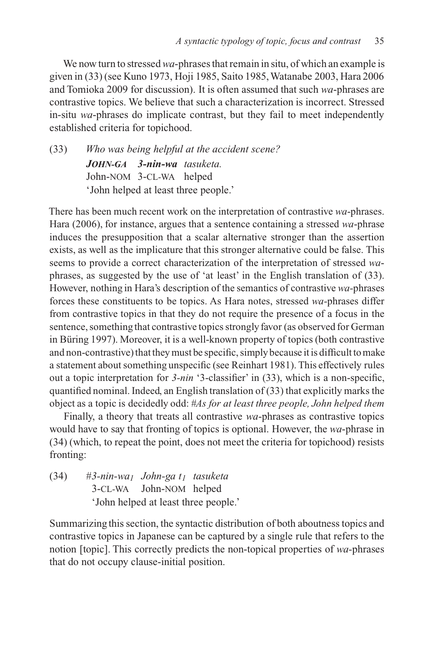We now turn to stressed*wa*-phrases that remain in situ, of which an example is given in (33) (see Kuno 1973, Hoji 1985, Saito 1985,Watanabe 2003, Hara 2006 and Tomioka 2009 for discussion). It is often assumed that such *wa*-phrases are contrastive topics. We believe that such a characterization is incorrect. Stressed in-situ *wa*-phrases do implicate contrast, but they fail to meet independently established criteria for topichood.

(33) *Who was being helpful at the accident scene? JOHN-GA 3-nin-wa tasuketa.* John-NOM 3-CL-WA helped 'John helped at least three people.'

There has been much recent work on the interpretation of contrastive *wa*-phrases. Hara (2006), for instance, argues that a sentence containing a stressed *wa*-phrase induces the presupposition that a scalar alternative stronger than the assertion exists, as well as the implicature that this stronger alternative could be false. This seems to provide a correct characterization of the interpretation of stressed *wa*phrases, as suggested by the use of 'at least' in the English translation of (33). However, nothing in Hara's description of the semantics of contrastive *wa-*phrases forces these constituents to be topics. As Hara notes, stressed *wa-*phrases differ from contrastive topics in that they do not require the presence of a focus in the sentence, something that contrastive topics strongly favor (as observed for German in Büring 1997). Moreover, it is a well-known property of topics (both contrastive and non-contrastive) that they must be specific, simply because it is difficult to make a statement about something unspecific (see Reinhart 1981). This effectively rules out a topic interpretation for *3-nin* '3-classifier' in (33), which is a non-specific, quantified nominal. Indeed, an English translation of (33) that explicitly marks the object as a topic is decidedly odd: #*As for at least three people, John helped them*

Finally, a theory that treats all contrastive *wa*-phrases as contrastive topics would have to say that fronting of topics is optional. However, the *wa*-phrase in (34) (which, to repeat the point, does not meet the criteria for topichood) resists fronting:

(34) #*3-nin-wa1 John-ga t1 tasuketa* 3-CL-WA John-NOM helped 'John helped at least three people.'

Summarizingthis section, the syntactic distribution of both aboutness topics and contrastive topics in Japanese can be captured by a single rule that refers to the notion [topic]. This correctly predicts the non-topical properties of *wa-*phrases that do not occupy clause-initial position.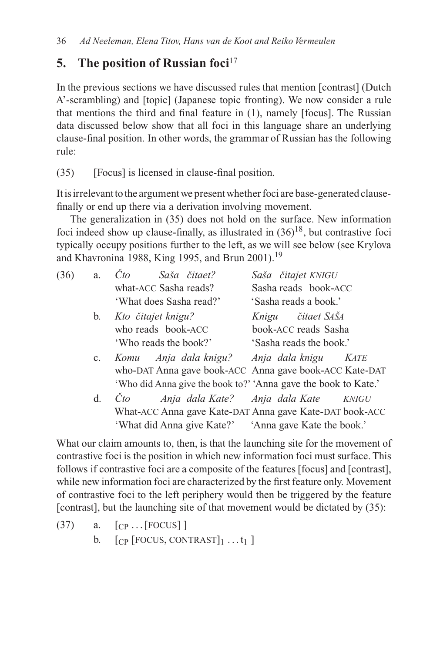## **5. The position of Russian foci**<sup>17</sup>

In the previous sections we have discussed rules that mention [contrast] (Dutch A'-scrambling) and [topic] (Japanese topic fronting). We now consider a rule that mentions the third and final feature in (1), namely [focus]. The Russian data discussed below show that all foci in this language share an underlying clause-final position. In other words, the grammar of Russian has the following rule:

(35) [Focus] is licensed in clause-final position.

It is irrelevant to the argument we present whether foci are base-generated clausefinally or end up there via a derivation involving movement.

The generalization in (35) does not hold on the surface. New information foci indeed show up clause-finally, as illustrated in  $(36)^{18}$ , but contrastive foci typically occupy positions further to the left, as we will see below (see Krylova and Khavronina 1988, King 1995, and Brun  $2001$ <sup>19</sup>

| (36) | a.             | Cto<br>Saša čitaet?                                            | Saša čitajet KNIGU                                      |
|------|----------------|----------------------------------------------------------------|---------------------------------------------------------|
|      |                | what-ACC Sasha reads?                                          | Sasha reads book-ACC                                    |
|      |                | 'What does Sasha read?'                                        | 'Sasha reads a book.'                                   |
|      | $\mathbf{b}$ . | Kto čitajet knigu?                                             | Knigu čitaet SAŠA                                       |
|      |                | who reads book-ACC                                             | book-ACC reads Sasha                                    |
|      |                | 'Who reads the book?'                                          | 'Sasha reads the book.'                                 |
|      | $c_{\cdot}$    | Komu Anja dala knigu? Anja dala knigu KATE                     |                                                         |
|      |                |                                                                | who-DAT Anna gave book-ACC Anna gave book-ACC Kate-DAT  |
|      |                | 'Who did Anna give the book to?' 'Anna gave the book to Kate.' |                                                         |
|      | d.             | $C$ to                                                         | Anja dala Kate? Anja dala Kate KNIGU                    |
|      |                |                                                                | What-ACC Anna gave Kate-DAT Anna gave Kate-DAT book-ACC |
|      |                |                                                                |                                                         |

'What did Anna give Kate?' 'Anna gave Kate the book.'

What our claim amounts to, then, is that the launching site for the movement of contrastive foci is the position in which new information foci must surface. This follows if contrastive foci are a composite of the features [focus] and [contrast], while new information foci are characterized by the first feature only. Movement of contrastive foci to the left periphery would then be triggered by the feature [contrast], but the launching site of that movement would be dictated by (35):

- $(37)$  a.  $[CP \dots [FOCUS] ]$ 
	- b.  $\left[\right]_{CP}$  [FOCUS, CONTRAST] $_{1} \ldots t_{1}$ ]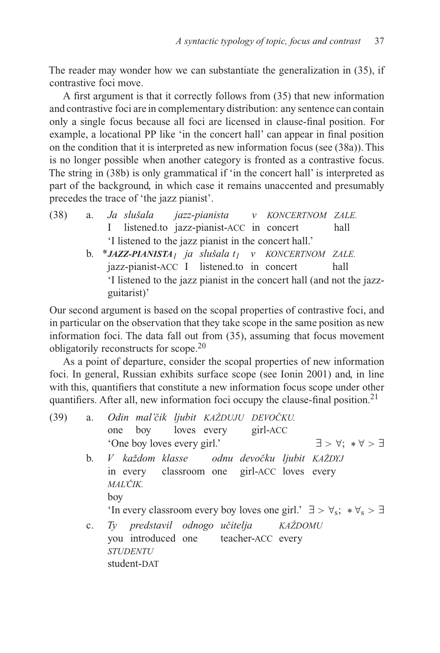The reader may wonder how we can substantiate the generalization in (35), if contrastive foci move.

A first argument is that it correctly follows from (35) that new information and contrastive foci are in complementary distribution: any sentence can contain only a single focus because all foci are licensed in clause-final position. For example, a locational PP like 'in the concert hall' can appear in final position on the condition that it is interpreted as new information focus (see (38a)). This is no longer possible when another category is fronted as a contrastive focus. The string in (38b) is only grammatical if 'in the concert hall' is interpreted as part of the background, in which case it remains unaccented and presumably precedes the trace of 'the jazz pianist'.

- (38) a. *Ja* I *sluˇsala* listened.to jazz-pianist-ACC in concert *jazz-pianista v KONCERTNOM ZALE.* hall 'I listened to the jazz pianist in the concert hall.' b. \**JAZZ-PIANISTA<sup>1</sup> ja sluˇsala t1 v KONCERTNOM ZALE.*
	- jazz-pianist-ACC I listened.to in concert hall 'I listened to the jazz pianist in the concert hall (and not the jazzguitarist)'

Our second argument is based on the scopal properties of contrastive foci, and in particular on the observation that they take scope in the same position as new information foci. The data fall out from (35), assuming that focus movement obligatorily reconstructs for scope.20

As a point of departure, consider the scopal properties of new information foci. In general, Russian exhibits surface scope (see Ionin 2001) and, in line with this, quantifiers that constitute a new information focus scope under other quantifiers. After all, new information foci occupy the clause-final position.<sup>21</sup>

| (39) |             | a. Odin mal'čik ljubit KAŽDUJU DEVOČKU.                                                                         |
|------|-------------|-----------------------------------------------------------------------------------------------------------------|
|      |             | one boy loves every girl-ACC                                                                                    |
|      |             | 'One boy loves every girl.'<br>$\exists > \forall : * \forall > \exists$                                        |
|      |             | b. V každom klasse odnu devočku ljubit KAŽDYJ<br>in every classroom one girl-ACC loves every<br><i>MAL'ČIK.</i> |
|      |             | boy<br>'In every classroom every boy loves one girl.' $\exists > \forall_s; * \forall_s > \exists$              |
|      | $c_{\cdot}$ | Ty predstavil odnogo učitelja KAŽDOMU<br>you introduced one teacher-ACC every<br><b>STUDENTU</b><br>student-DAT |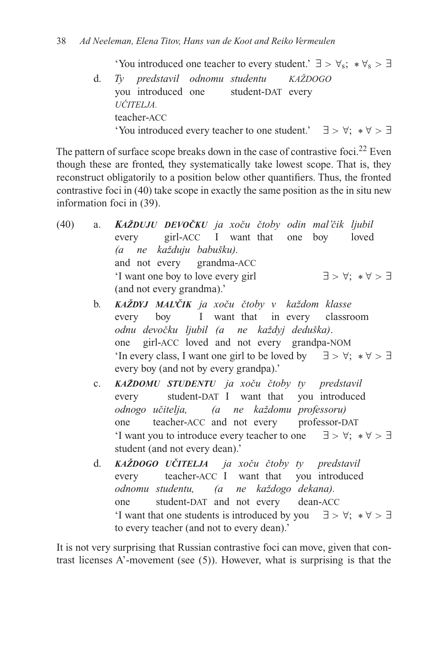'You introduced one teacher to every student.'  $\exists > \forall s; * \forall s > \exists$ d. *Ty* you introduced one *predstavil odnomu studentu* student-DAT every *KAZDOGO ˇ UCITELJA. ˇ* teacher-ACC 'You introduced every teacher to one student.'  $\exists$  >  $\forall$ :  $*\forall$  >  $\exists$ 

The pattern of surface scope breaks down in the case of contrastive foci.<sup>22</sup> Even though these are fronted, they systematically take lowest scope. That is, they reconstruct obligatorily to a position below other quantifiers. Thus, the fronted contrastive foci in (40) take scope in exactly the same position as the in situ new information foci in (39).

- (40) a. KAŽDUJU DEVOČKU ja xoču čtoby odin mal'čik ljubil every girl-ACC I want that one boy loved *(a ne kaˇzduju babuˇsku).* and not every grandma-ACC 'I want one boy to love every girl  $\exists > \forall; * \forall > \exists$ (and not every grandma).'
	- b. *KAŽDYJ MAL'ČIK ja xoču čtoby v každom klasse* every boy I want that in every classroom *odnu devoˇcku ljubil (a ne kaˇzdyj deduˇska)*. one girl-ACC loved and not every grandpa-NOM 'In every class, I want one girl to be loved by  $\exists > \forall$ ;  $*\forall > \exists$ every boy (and not by every grandpa).'
	- c. **KAŽDOMU STUDENTU** ja xoču čtoby ty predstavil every student-DAT I want that you introduced *odnogo uˇcitelja,* one teacher-ACC and not every professor-DAT *(a ne kaˇzdomu professoru)* 'I want you to introduce every teacher to one  $\exists$  >  $\forall$ ;  $*\forall$  >  $\exists$ student (and not every dean).'
	- d. KAŽDOGO UČITELJA ja xoču čtoby ty predstavil every teacher-ACC I want that you introduced *odnomu studentu,* one student-DAT and not every dean-ACC *(a ne kaˇzdogo dekana).* 'I want that one students is introduced by you  $\exists$  >  $\forall$ ;  $*\forall$  >  $\exists$ to every teacher (and not to every dean).'

It is not very surprising that Russian contrastive foci can move, given that contrast licenses A'-movement (see (5)). However, what is surprising is that the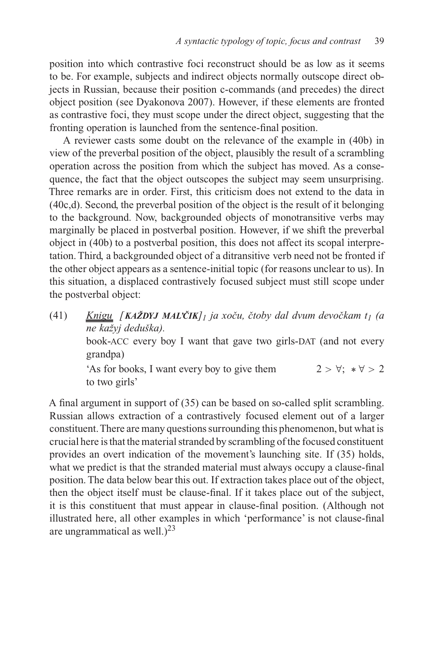position into which contrastive foci reconstruct should be as low as it seems to be. For example, subjects and indirect objects normally outscope direct objects in Russian, because their position c-commands (and precedes) the direct object position (see Dyakonova 2007). However, if these elements are fronted as contrastive foci, they must scope under the direct object, suggesting that the fronting operation is launched from the sentence-final position.

A reviewer casts some doubt on the relevance of the example in (40b) in view of the preverbal position of the object, plausibly the result of a scrambling operation across the position from which the subject has moved. As a consequence, the fact that the object outscopes the subject may seem unsurprising. Three remarks are in order. First, this criticism does not extend to the data in (40c,d). Second, the preverbal position of the object is the result of it belonging to the background. Now, backgrounded objects of monotransitive verbs may marginally be placed in postverbal position. However, if we shift the preverbal object in (40b) to a postverbal position, this does not affect its scopal interpretation. Third, a backgrounded object of a ditransitive verb need not be fronted if the other object appears as a sentence-initial topic (for reasons unclear to us). In this situation, a displaced contrastively focused subject must still scope under the postverbal object:

(41) *Knigu [KAŽDYJ MAL'ČIK]<sub>1</sub> ja xoču, čtoby dal dvum devočkam t<sub>1</sub> (a ne kaˇzyj deduˇska).* book-ACC every boy I want that gave two girls-DAT (and not every grandpa) 'As for books, I want every boy to give them  $2 > \forall$ ;  $* \forall > 2$ to two girls'

A final argument in support of (35) can be based on so-called split scrambling. Russian allows extraction of a contrastively focused element out of a larger constituent.There are many questions surrounding this phenomenon, but what is crucial here is that the material stranded by scrambling of the focused constituent provides an overt indication of the movement's launching site. If (35) holds, what we predict is that the stranded material must always occupy a clause-final position. The data below bear this out. If extraction takes place out of the object, then the object itself must be clause-final. If it takes place out of the subject, it is this constituent that must appear in clause-final position. (Although not illustrated here, all other examples in which 'performance' is not clause-final are ungrammatical as well.)<sup>23</sup>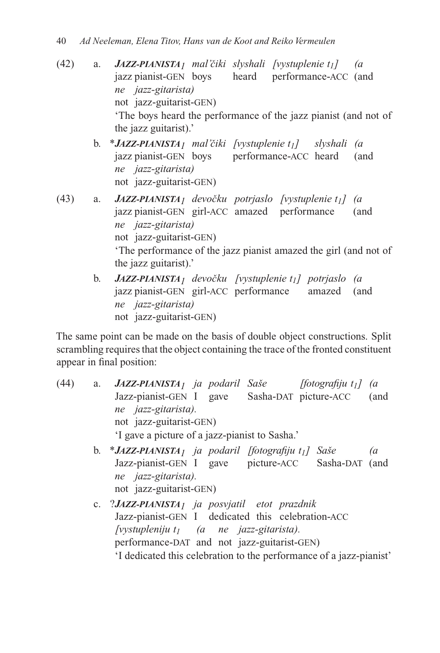- (42) a. *JAZZ-PIANISTA<sub>1</sub> mal'čiki slyshali [vystuplenie t<sub>1</sub>]* jazz pianist-GEN boys heard performance-ACC (and *(a ne jazz-gitarista)* not jazz-guitarist-GEN) 'The boys heard the performance of the jazz pianist (and not of the jazz guitarist).'
	- b. \**JAZZ-PIANISTA1 mal'ˇciki [vystuplenie t1]* jazz pianist-GEN boys performance-ACC heard *slyshali (a* (and *ne jazz-gitarista)* not jazz-guitarist-GEN)
- (43) a. *JAZZ-PIANISTA1 devoˇcku potrjaslo [vystuplenie t1] (a* jazz pianist-GEN girl-ACC amazed performance (and *ne jazz-gitarista)* not jazz-guitarist-GEN) 'The performance of the jazz pianist amazed the girl (and not of the jazz guitarist).'
	- b. *JAZZ-PIANISTA1 devoˇcku [vystuplenie t1] potrjaslo (a* jazz pianist-GEN girl-ACC performance amazed (and *ne jazz-gitarista)* not jazz-guitarist-GEN)

The same point can be made on the basis of double object constructions. Split scrambling requires that the object containing the trace of the fronted constituent appear in final position:

- (44) a. *JAZZ-PIANISTA1 ja podaril Saˇse* Jazz-pianist-GEN I gave Sasha-DAT picture-ACC *[fotografiju t1] (a* (and *ne jazz-gitarista).* not jazz-guitarist-GEN) 'I gave a picture of a jazz-pianist to Sasha.'
	- b. \**JAZZ-PIANISTA1 ja podaril [fotografiju t1] Saˇse* Jazz-pianist-GEN I gave picture-ACC Sasha-DAT (and *(a ne jazz-gitarista).* not jazz-guitarist-GEN)
	- c. ?*JAZZ-PIANISTA1 ja posvjatil etot prazdnik* Jazz-pianist-GEN I dedicated this celebration-ACC *[vystupleniju t1 (a ne jazz-gitarista).* performance-DAT and not jazz-guitarist-GEN) 'I dedicated this celebration to the performance of a jazz-pianist'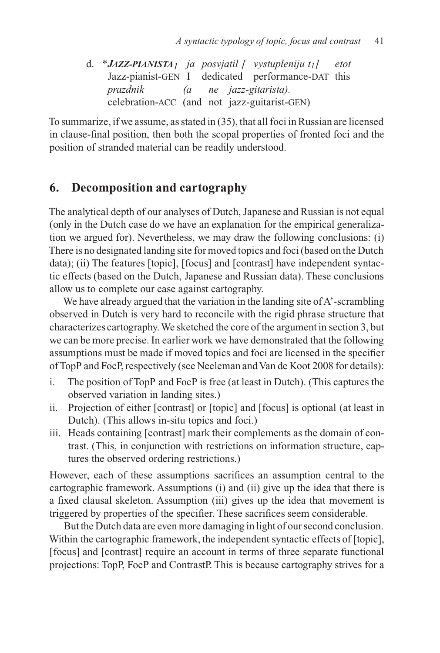d. \**JAZZ-PIANISTA1 ja posvjatil [ vystupleniju t1]* Jazz-pianist-GEN I dedicated performance-DAT this *etot prazdnik* celebration-ACC (and not jazz-guitarist-GEN) *(a ne jazz-gitarista).*

To summarize, if we assume, as stated in (35), that all foci in Russian are licensed in clause-final position, then both the scopal properties of fronted foci and the position of stranded material can be readily understood.

## **6. Decomposition and cartography**

The analytical depth of our analyses of Dutch, Japanese and Russian is not equal (only in the Dutch case do we have an explanation for the empirical generalization we argued for). Nevertheless, we may draw the following conclusions: (i) There is no designated landing site for moved topics and foci (based on the Dutch data); (ii) The features [topic], [focus] and [contrast] have independent syntactic effects (based on the Dutch, Japanese and Russian data). These conclusions allow us to complete our case against cartography.

We have already argued that the variation in the landing site of A'-scrambling observed in Dutch is very hard to reconcile with the rigid phrase structure that characterizes cartography.We sketched the core of the argument in section 3, but we can be more precise. In earlier work we have demonstrated that the following assumptions must be made if moved topics and foci are licensed in the specifier of TopP and FocP, respectively (see Neeleman and Van de Koot 2008 for details):

- i. The position of TopP and FocP is free (at least in Dutch). (This captures the observed variation in landing sites.)
- ii. Projection of either [contrast] or [topic] and [focus] is optional (at least in Dutch). (This allows in-situ topics and foci.)
- iii. Heads containing [contrast] mark their complements as the domain of contrast. (This, in conjunction with restrictions on information structure, captures the observed ordering restrictions.)

However, each of these assumptions sacrifices an assumption central to the cartographic framework. Assumptions (i) and (ii) give up the idea that there is a fixed clausal skeleton. Assumption (iii) gives up the idea that movement is triggered by properties of the specifier. These sacrifices seem considerable.

But the Dutch data are even more damaging in light of our second conclusion. Within the cartographic framework, the independent syntactic effects of [topic], [focus] and [contrast] require an account in terms of three separate functional projections: TopP, FocP and ContrastP. This is because cartography strives for a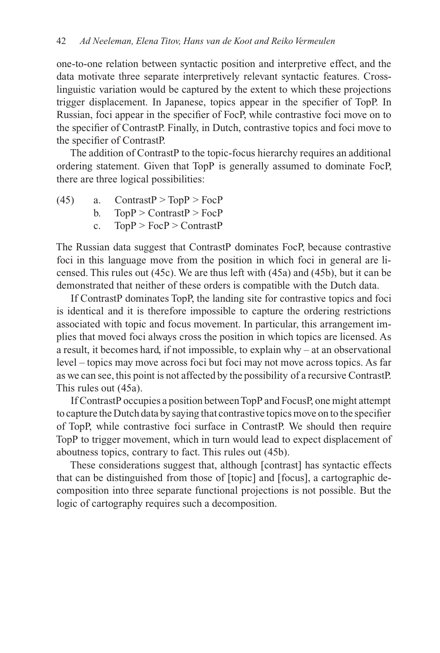one-to-one relation between syntactic position and interpretive effect, and the data motivate three separate interpretively relevant syntactic features. Crosslinguistic variation would be captured by the extent to which these projections trigger displacement. In Japanese, topics appear in the specifier of TopP. In Russian, foci appear in the specifier of FocP, while contrastive foci move on to the specifier of ContrastP. Finally, in Dutch, contrastive topics and foci move to the specifier of ContrastP.

The addition of ContrastP to the topic-focus hierarchy requires an additional ordering statement. Given that TopP is generally assumed to dominate FocP, there are three logical possibilities:

| (45) | a. Contrast $P > TopP > FocP$ |
|------|-------------------------------|
|      | b. $TopP > ContrastP > FocP$  |
|      | c. $TopP > FocP >$ ContrastP  |

The Russian data suggest that ContrastP dominates FocP, because contrastive foci in this language move from the position in which foci in general are licensed. This rules out (45c). We are thus left with (45a) and (45b), but it can be demonstrated that neither of these orders is compatible with the Dutch data.

If ContrastP dominates TopP, the landing site for contrastive topics and foci is identical and it is therefore impossible to capture the ordering restrictions associated with topic and focus movement. In particular, this arrangement implies that moved foci always cross the position in which topics are licensed. As a result, it becomes hard, if not impossible, to explain why – at an observational level – topics may move across foci but foci may not move across topics. As far as we can see, this point is not affected by the possibility of a recursive ContrastP. This rules out (45a).

If ContrastP occupies a position betweenTopP and FocusP, one might attempt to capture the Dutch data by saying that contrastive topics move on to the specifier of TopP, while contrastive foci surface in ContrastP. We should then require TopP to trigger movement, which in turn would lead to expect displacement of aboutness topics, contrary to fact. This rules out (45b).

These considerations suggest that, although [contrast] has syntactic effects that can be distinguished from those of [topic] and [focus], a cartographic decomposition into three separate functional projections is not possible. But the logic of cartography requires such a decomposition.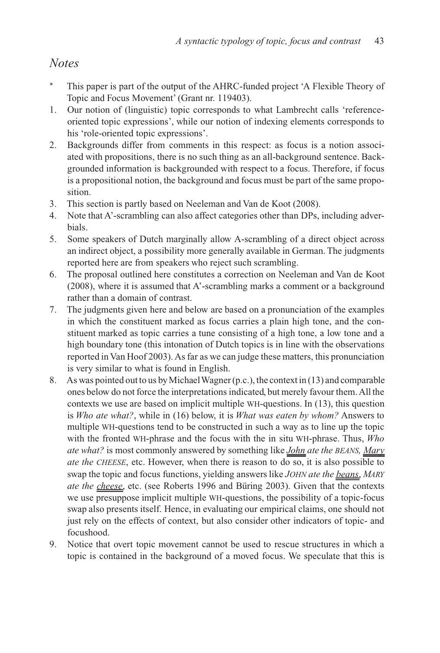## *Notes*

- This paper is part of the output of the AHRC-funded project 'A Flexible Theory of Topic and Focus Movement' (Grant nr. 119403).
- 1. Our notion of (linguistic) topic corresponds to what Lambrecht calls 'referenceoriented topic expressions', while our notion of indexing elements corresponds to his 'role-oriented topic expressions'.
- 2. Backgrounds differ from comments in this respect: as focus is a notion associated with propositions, there is no such thing as an all-background sentence. Backgrounded information is backgrounded with respect to a focus. Therefore, if focus is a propositional notion, the background and focus must be part of the same proposition.
- 3. This section is partly based on Neeleman and Van de Koot (2008).
- 4. Note that A'-scrambling can also affect categories other than DPs, including adverbials.
- 5. Some speakers of Dutch marginally allow A-scrambling of a direct object across an indirect object, a possibility more generally available in German. The judgments reported here are from speakers who reject such scrambling.
- 6. The proposal outlined here constitutes a correction on Neeleman and Van de Koot (2008), where it is assumed that A'-scrambling marks a comment or a background rather than a domain of contrast.
- 7. The judgments given here and below are based on a pronunciation of the examples in which the constituent marked as focus carries a plain high tone, and the constituent marked as topic carries a tune consisting of a high tone, a low tone and a high boundary tone (this intonation of Dutch topics is in line with the observations reported in Van Hoof 2003). As far as we can judge these matters, this pronunciation is very similar to what is found in English.
- 8. As was pointed out to us byMichaelWagner (p.c.), the context in (13) and comparable ones below do not force the interpretations indicated, but merely favour them. All the contexts we use are based on implicit multiple WH-questions. In (13), this question is *Who ate what?*, while in (16) below, it is *What was eaten by whom?* Answers to multiple WH-questions tend to be constructed in such a way as to line up the topic with the fronted WH-phrase and the focus with the in situ WH-phrase. Thus, *Who ate what?* is most commonly answered by something like *John ate the BEANS, Mary ate the CHEESE*, etc. However, when there is reason to do so, it is also possible to swap the topic and focus functions, yielding answers like *JOHN ate the beans*, *MARY ate the cheese*, etc. (see Roberts 1996 and Büring 2003). Given that the contexts we use presuppose implicit multiple WH-questions, the possibility of a topic-focus swap also presents itself. Hence, in evaluating our empirical claims, one should not just rely on the effects of context, but also consider other indicators of topic- and focushood.
- 9. Notice that overt topic movement cannot be used to rescue structures in which a topic is contained in the background of a moved focus. We speculate that this is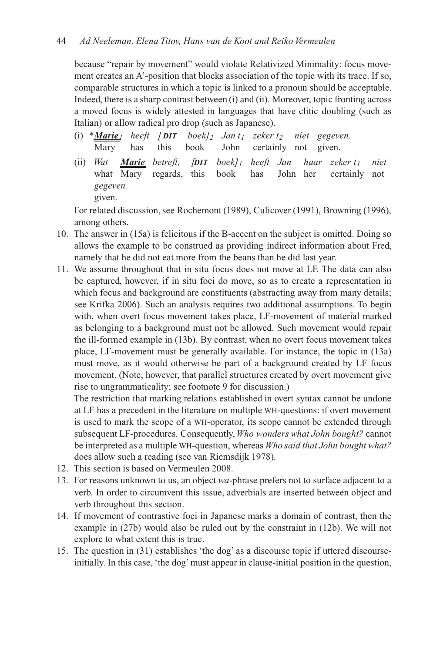because "repair by movement" would violate Relativized Minimality: focus movement creates an A'-position that blocks association of the topic with its trace. If so, comparable structures in which a topic is linked to a pronoun should be acceptable. Indeed, there is a sharp contrast between (i) and (ii). Moreover, topic fronting across a moved focus is widely attested in languages that have clitic doubling (such as Italian) or allow radical pro drop (such as Japanese).

- (i)  $*$ *Marie<sub>1</sub> heeft [DIT boek]*<sub>2</sub> *Jan t<sub>1</sub> zeker t<sub>2</sub> <i>niet gegeven.*<br>Mary has this book John certainly not given. Mary has this book John certainly not given.
- (ii) Wat **Marie** betreft,  $[DIT$  boek]<sub>1</sub> heeft Jan haar zeker t<sub>1</sub> niet what Mary regards, this book has John her certainly not *gegeven.* given.

For related discussion, see Rochemont (1989), Culicover (1991), Browning (1996), among others.

- 10. The answer in (15a) is felicitous if the B-accent on the subject is omitted. Doing so allows the example to be construed as providing indirect information about Fred, namely that he did not eat more from the beans than he did last year.
- 11. We assume throughout that in situ focus does not move at LF. The data can also be captured, however, if in situ foci do move, so as to create a representation in which focus and background are constituents (abstracting away from many details; see Krifka 2006). Such an analysis requires two additional assumptions. To begin with, when overt focus movement takes place, LF-movement of material marked as belonging to a background must not be allowed. Such movement would repair the ill-formed example in (13b). By contrast, when no overt focus movement takes place, LF-movement must be generally available. For instance, the topic in (13a) must move, as it would otherwise be part of a background created by LF focus movement. (Note, however, that parallel structures created by overt movement give rise to ungrammaticality; see footnote 9 for discussion.)

The restriction that marking relations established in overt syntax cannot be undone at LF has a precedent in the literature on multiple WH-questions: if overt movement is used to mark the scope of a WH-operator, its scope cannot be extended through subsequent LF-procedures. Consequently,*Who wonders what John bought?* cannot be interpreted as a multiple WH-question, whereas *Who said that John bought what?* does allow such a reading (see van Riemsdijk 1978).

- 12. This section is based on Vermeulen 2008.
- 13. For reasons unknown to us, an object *wa*-phrase prefers not to surface adjacent to a verb. In order to circumvent this issue, adverbials are inserted between object and verb throughout this section.
- 14. If movement of contrastive foci in Japanese marks a domain of contrast, then the example in (27b) would also be ruled out by the constraint in (12b). We will not explore to what extent this is true.
- 15. The question in (31) establishes 'the dog' as a discourse topic if uttered discourseinitially. In this case, 'the dog' must appear in clause-initial position in the question,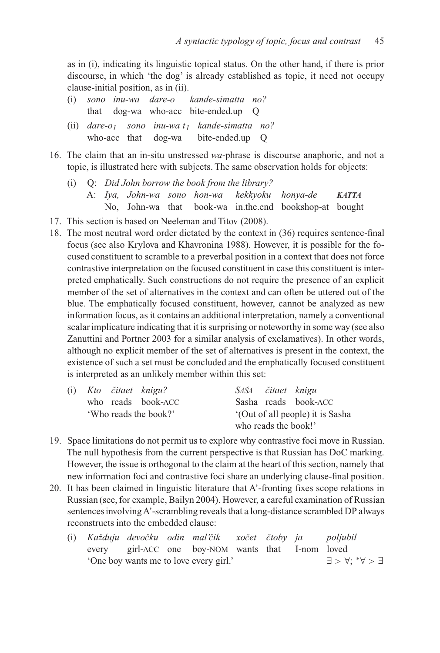as in (i), indicating its linguistic topical status. On the other hand, if there is prior discourse, in which 'the dog' is already established as topic, it need not occupy clause-initial position, as in (ii).

- (i) *sono inu-wa dare-o kande-simatta no?* that dog-wa who-acc bite-ended.up Q
- (ii) *dare-o1 sono inu-wa t1 kande-simatta no?* who-acc that dog-wa bite-ended.up Q
- 16. The claim that an in-situ unstressed *wa*-phrase is discourse anaphoric, and not a topic, is illustrated here with subjects. The same observation holds for objects:
	- (i) Q: *Did John borrow the book from the library?*
		- A: *Iya, John-wa sono hon-wa kekkyoku honya-de KATTA* No, John-wa that book-wa in.the.end bookshop-at bought
- 17. This section is based on Neeleman and Titov (2008).
- 18. The most neutral word order dictated by the context in (36) requires sentence-final focus (see also Krylova and Khavronina 1988). However, it is possible for the focused constituent to scramble to a preverbal position in a context that does not force contrastive interpretation on the focused constituent in case this constituent is interpreted emphatically. Such constructions do not require the presence of an explicit member of the set of alternatives in the context and can often be uttered out of the blue. The emphatically focused constituent, however, cannot be analyzed as new information focus, as it contains an additional interpretation, namely a conventional scalar implicature indicating that it is surprising or noteworthy in some way (see also Zanuttini and Portner 2003 for a similar analysis of exclamatives). In other words, although no explicit member of the set of alternatives is present in the context, the existence of such a set must be concluded and the emphatically focused constituent is interpreted as an unlikely member within this set:

| (i) |  | Kto čitaet knigu?     | SAŠA čitaet knigu    |                                  |
|-----|--|-----------------------|----------------------|----------------------------------|
|     |  | who reads book-ACC    |                      | Sasha reads book-ACC             |
|     |  | 'Who reads the book?' |                      | '(Out of all people) it is Sasha |
|     |  |                       | who reads the book!' |                                  |

- 19. Space limitations do not permit us to explore why contrastive foci move in Russian. The null hypothesis from the current perspective is that Russian has DoC marking. However, the issue is orthogonal to the claim at the heart of this section, namely that new information foci and contrastive foci share an underlying clause-final position.
- 20. It has been claimed in linguistic literature that A'-fronting fixes scope relations in Russian (see, for example, Bailyn 2004). However, a careful examination of Russian sentences involving A'-scrambling reveals that a long-distance scrambled DP always reconstructs into the embedded clause:
	- (i) *Kaˇzduju devoˇcku odin mal'ˇcik xoˇcet ˇctoby ja poljubil* every girl-ACC one boy-NOM wants that I-nom loved 'One boy wants me to love every girl.'  $\exists$  >  $\forall$ ; \* $\forall$  >  $\exists$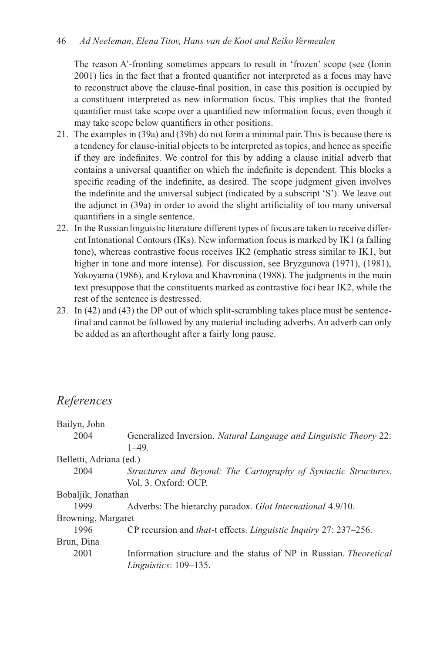#### 46 *Ad Neeleman, Elena Titov, Hans van de Koot and Reiko Vermeulen*

The reason A'-fronting sometimes appears to result in 'frozen' scope (see (Ionin 2001) lies in the fact that a fronted quantifier not interpreted as a focus may have to reconstruct above the clause-final position, in case this position is occupied by a constituent interpreted as new information focus. This implies that the fronted quantifier must take scope over a quantified new information focus, even though it may take scope below quantifiers in other positions.

- 21. The examples in (39a) and (39b) do not form a minimal pair. This is because there is a tendency for clause-initial objects to be interpreted as topics, and hence as specific if they are indefinites. We control for this by adding a clause initial adverb that contains a universal quantifier on which the indefinite is dependent. This blocks a specific reading of the indefinite, as desired. The scope judgment given involves the indefinite and the universal subject (indicated by a subscript 'S'). We leave out the adjunct in (39a) in order to avoid the slight artificiality of too many universal quantifiers in a single sentence.
- 22. In the Russian linguistic literature different types of focus are taken to receive different Intonational Contours (IKs). New information focus is marked by IK1 (a falling tone), whereas contrastive focus receives IK2 (emphatic stress similar to IK1, but higher in tone and more intense). For discussion, see Bryzgunova (1971), (1981), Yokoyama (1986), and Krylova and Khavronina (1988). The judgments in the main text presuppose that the constituents marked as contrastive foci bear IK2, while the rest of the sentence is destressed.
- 23. In (42) and (43) the DP out of which split-scrambling takes place must be sentencefinal and cannot be followed by any material including adverbs. An adverb can only be added as an afterthought after a fairly long pause.

### *References*

| Bailyn, John            |                                                                                 |
|-------------------------|---------------------------------------------------------------------------------|
| 2004                    | Generalized Inversion. Natural Language and Linguistic Theory 22:               |
|                         | $1 - 49$ .                                                                      |
| Belletti, Adriana (ed.) |                                                                                 |
| 2004                    | Structures and Beyond: The Cartography of Syntactic Structures.                 |
|                         | Vol. 3. Oxford: OUP.                                                            |
| Bobaljik, Jonathan      |                                                                                 |
| 1999                    | Adverbs: The hierarchy paradox. Glot International 4.9/10.                      |
| Browning, Margaret      |                                                                                 |
| 1996                    | CP recursion and <i>that</i> -t effects. <i>Linguistic Inquiry</i> 27: 237–256. |
| Brun, Dina              |                                                                                 |
| 2001                    | Information structure and the status of NP in Russian. <i>Theoretical</i>       |
|                         | Linguistics: 109–135.                                                           |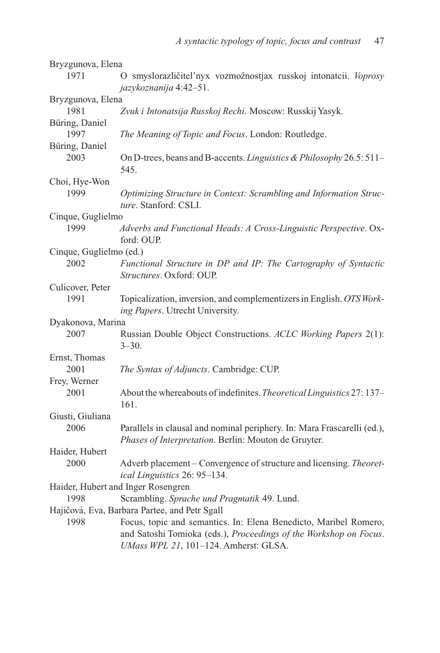| Bryzgunova, Elena       |                                                                                                         |
|-------------------------|---------------------------------------------------------------------------------------------------------|
| 1971                    | O smyslorazličiteľnyx vozmožnostjax russkoj intonatcii. Voprosy<br>jazykoznanija 4:42-51.               |
| Bryzgunova, Elena       |                                                                                                         |
| 1981                    | Zvuk i Intonatsija Russkoj Rechi. Moscow: Russkij Yasyk.                                                |
| Büring, Daniel          |                                                                                                         |
| 1997                    | The Meaning of Topic and Focus. London: Routledge.                                                      |
| Büring, Daniel          |                                                                                                         |
| 2003                    | On D-trees, beans and B-accents. Linguistics & Philosophy 26.5: 511-                                    |
|                         | 545.                                                                                                    |
| Choi, Hye-Won           |                                                                                                         |
| 1999                    | Optimizing Structure in Context: Scrambling and Information Struc-                                      |
|                         | ture. Stanford: CSLI.                                                                                   |
| Cinque, Guglielmo       |                                                                                                         |
| 1999                    | Adverbs and Functional Heads: A Cross-Linguistic Perspective. Ox-<br>ford: OUP.                         |
| Cinque, Guglielmo (ed.) |                                                                                                         |
| 2002                    | Functional Structure in DP and IP: The Cartography of Syntactic                                         |
|                         | Structures. Oxford: OUP.                                                                                |
| Culicover, Peter        |                                                                                                         |
| 1991                    | Topicalization, inversion, and complementizers in English. OTS Work-<br>ing Papers. Utrecht University. |
| Dyakonova, Marina       |                                                                                                         |
| 2007                    | Russian Double Object Constructions. ACLC Working Papers 2(1):                                          |
|                         | $3 - 30.$                                                                                               |
| Ernst, Thomas           |                                                                                                         |
| 2001                    | The Syntax of Adjuncts. Cambridge: CUP.                                                                 |
| Frey, Werner            |                                                                                                         |
| 2001                    | About the whereabouts of indefinites. Theoretical Linguistics 27: 137-<br>161.                          |
| Giusti, Giuliana        |                                                                                                         |
| 2006                    | Parallels in clausal and nominal periphery. In: Mara Frascarelli (ed.),                                 |
|                         | Phases of Interpretation. Berlin: Mouton de Gruyter.                                                    |
| Haider, Hubert          |                                                                                                         |
| 2000                    | Adverb placement - Convergence of structure and licensing. Theoret-                                     |
|                         | ical Linguistics 26: 95-134.                                                                            |
|                         | Haider, Hubert and Inger Rosengren                                                                      |
| 1998                    | Scrambling. Sprache und Pragmatik 49. Lund.                                                             |
|                         | Hajičová, Eva, Barbara Partee, and Petr Sgall                                                           |
| 1998                    | Focus, topic and semantics. In: Elena Benedicto, Maribel Romero,                                        |
|                         | and Satoshi Tomioka (eds.), Proceedings of the Workshop on Focus.                                       |
|                         | UMass WPL 21, 101-124. Amherst: GLSA.                                                                   |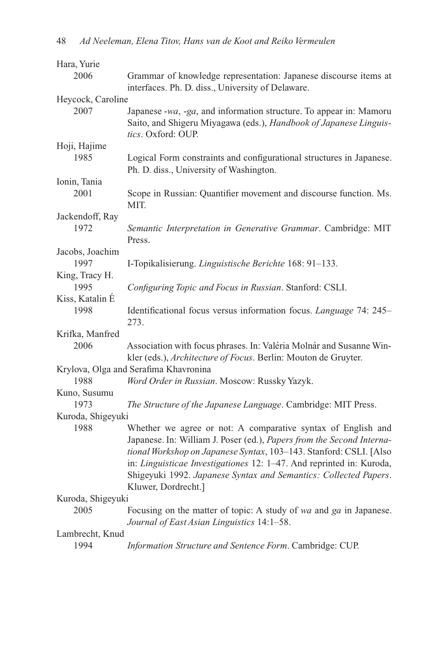| Hara, Yurie               |                                                                                                                                                               |
|---------------------------|---------------------------------------------------------------------------------------------------------------------------------------------------------------|
| 2006                      | Grammar of knowledge representation: Japanese discourse items at<br>interfaces. Ph. D. diss., University of Delaware.                                         |
| Heycock, Caroline         |                                                                                                                                                               |
| 2007                      | Japanese -wa, -ga, and information structure. To appear in: Mamoru<br>Saito, and Shigeru Miyagawa (eds.), Handbook of Japanese Linguis-<br>tics. Oxford: OUP. |
| Hoji, Hajime              |                                                                                                                                                               |
| 1985                      | Logical Form constraints and configurational structures in Japanese.<br>Ph. D. diss., University of Washington.                                               |
| Ionin, Tania              |                                                                                                                                                               |
| 2001                      | Scope in Russian: Quantifier movement and discourse function. Ms.<br>MIT.                                                                                     |
| Jackendoff, Ray           |                                                                                                                                                               |
| 1972                      | Semantic Interpretation in Generative Grammar. Cambridge: MIT<br>Press.                                                                                       |
| Jacobs, Joachim           |                                                                                                                                                               |
| 1997                      | I-Topikalisierung. Linguistische Berichte 168: 91-133.                                                                                                        |
| King, Tracy H.            |                                                                                                                                                               |
| 1995                      | Configuring Topic and Focus in Russian. Stanford: CSLI.                                                                                                       |
| Kiss, Katalin E           |                                                                                                                                                               |
| 1998                      | Identificational focus versus information focus. Language 74: 245-<br>273.                                                                                    |
| Krifka, Manfred           |                                                                                                                                                               |
| 2006                      | Association with focus phrases. In: Valéria Molnár and Susanne Win-<br>kler (eds.), Architecture of Focus. Berlin: Mouton de Gruyter.                         |
|                           | Krylova, Olga and Serafima Khavronina                                                                                                                         |
| 1988                      | Word Order in Russian. Moscow: Russky Yazyk.                                                                                                                  |
| Kuno, Susumu              |                                                                                                                                                               |
| 1973                      | The Structure of the Japanese Language. Cambridge: MIT Press.                                                                                                 |
| Kuroda, Shigeyuki         |                                                                                                                                                               |
| 1988                      | Whether we agree or not: A comparative syntax of English and                                                                                                  |
|                           | Japanese. In: William J. Poser (ed.), Papers from the Second Interna-<br>tional Workshop on Japanese Syntax, 103-143. Stanford: CSLI. [Also                   |
|                           | in: Linguisticae Investigationes 12: 1-47. And reprinted in: Kuroda,                                                                                          |
|                           | Shigeyuki 1992. Japanese Syntax and Semantics: Collected Papers.                                                                                              |
|                           | Kluwer, Dordrecht.]                                                                                                                                           |
| Kuroda, Shigeyuki<br>2005 | Focusing on the matter of topic: A study of wa and ga in Japanese.                                                                                            |
|                           | Journal of East Asian Linguistics 14:1-58.                                                                                                                    |
| Lambrecht, Knud           |                                                                                                                                                               |
| 1994                      | Information Structure and Sentence Form. Cambridge: CUP.                                                                                                      |
|                           |                                                                                                                                                               |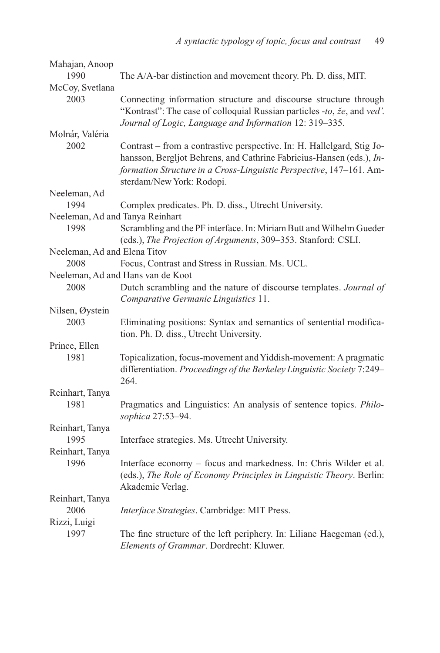| Mahajan, Anoop                  |                                                                                                                                                                                                                                                    |
|---------------------------------|----------------------------------------------------------------------------------------------------------------------------------------------------------------------------------------------------------------------------------------------------|
| 1990                            | The A/A-bar distinction and movement theory. Ph. D. diss, MIT.                                                                                                                                                                                     |
| McCoy, Svetlana                 |                                                                                                                                                                                                                                                    |
| 2003                            | Connecting information structure and discourse structure through<br>"Kontrast": The case of colloquial Russian particles -to, že, and ved'.<br>Journal of Logic, Language and Information 12: 319-335.                                             |
| Molnár, Valéria                 |                                                                                                                                                                                                                                                    |
| 2002                            | Contrast - from a contrastive perspective. In: H. Hallelgard, Stig Jo-<br>hansson, Bergljot Behrens, and Cathrine Fabricius-Hansen (eds.), In-<br>formation Structure in a Cross-Linguistic Perspective, 147-161. Am-<br>sterdam/New York: Rodopi. |
| Neeleman, Ad                    |                                                                                                                                                                                                                                                    |
| 1994                            | Complex predicates. Ph. D. diss., Utrecht University.                                                                                                                                                                                              |
| Neeleman, Ad and Tanya Reinhart |                                                                                                                                                                                                                                                    |
| 1998                            | Scrambling and the PF interface. In: Miriam Butt and Wilhelm Gueder<br>(eds.), The Projection of Arguments, 309-353. Stanford: CSLI.                                                                                                               |
| Neeleman, Ad and Elena Titov    |                                                                                                                                                                                                                                                    |
| 2008                            | Focus, Contrast and Stress in Russian. Ms. UCL.                                                                                                                                                                                                    |
|                                 | Neeleman, Ad and Hans van de Koot                                                                                                                                                                                                                  |
| 2008                            | Dutch scrambling and the nature of discourse templates. Journal of<br>Comparative Germanic Linguistics 11.                                                                                                                                         |
| Nilsen, Øystein                 |                                                                                                                                                                                                                                                    |
| 2003                            | Eliminating positions: Syntax and semantics of sentential modifica-<br>tion. Ph. D. diss., Utrecht University.                                                                                                                                     |
| Prince, Ellen                   |                                                                                                                                                                                                                                                    |
| 1981                            | Topicalization, focus-movement and Yiddish-movement: A pragmatic<br>differentiation. Proceedings of the Berkeley Linguistic Society 7:249-<br>264.                                                                                                 |
| Reinhart, Tanya                 |                                                                                                                                                                                                                                                    |
| 1981                            | Pragmatics and Linguistics: An analysis of sentence topics. Philo-<br>sophica 27:53-94.                                                                                                                                                            |
| Reinhart, Tanya                 |                                                                                                                                                                                                                                                    |
| 1995                            | Interface strategies. Ms. Utrecht University.                                                                                                                                                                                                      |
| Reinhart, Tanya                 |                                                                                                                                                                                                                                                    |
| 1996                            | Interface economy - focus and markedness. In: Chris Wilder et al.<br>(eds.), The Role of Economy Principles in Linguistic Theory. Berlin:<br>Akademic Verlag.                                                                                      |
| Reinhart, Tanya                 |                                                                                                                                                                                                                                                    |
| 2006                            | Interface Strategies. Cambridge: MIT Press.                                                                                                                                                                                                        |
| Rizzi, Luigi                    |                                                                                                                                                                                                                                                    |
| 1997                            | The fine structure of the left periphery. In: Liliane Haegeman (ed.),<br>Elements of Grammar. Dordrecht: Kluwer.                                                                                                                                   |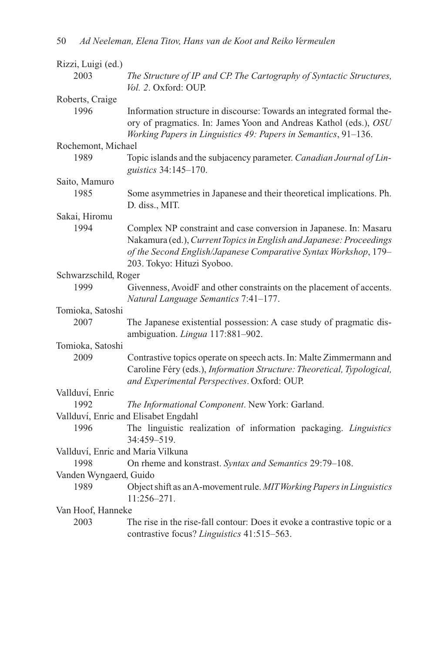| Rizzi, Luigi (ed.)                |                                                                                              |  |  |  |  |
|-----------------------------------|----------------------------------------------------------------------------------------------|--|--|--|--|
| 2003                              | The Structure of IP and CP. The Cartography of Syntactic Structures,                         |  |  |  |  |
|                                   | Vol. 2. Oxford: OUP.                                                                         |  |  |  |  |
| Roberts, Craige                   |                                                                                              |  |  |  |  |
| 1996                              | Information structure in discourse: Towards an integrated formal the-                        |  |  |  |  |
|                                   | ory of pragmatics. In: James Yoon and Andreas Kathol (eds.), OSU                             |  |  |  |  |
|                                   | Working Papers in Linguistics 49: Papers in Semantics, 91-136.                               |  |  |  |  |
| Rochemont, Michael                |                                                                                              |  |  |  |  |
| 1989                              | Topic islands and the subjacency parameter. Canadian Journal of Lin-<br>guistics 34:145-170. |  |  |  |  |
| Saito, Mamuro                     |                                                                                              |  |  |  |  |
| 1985                              | Some asymmetries in Japanese and their theoretical implications. Ph.                         |  |  |  |  |
|                                   | D. diss., MIT.                                                                               |  |  |  |  |
| Sakai, Hiromu                     |                                                                                              |  |  |  |  |
| 1994                              | Complex NP constraint and case conversion in Japanese. In: Masaru                            |  |  |  |  |
|                                   | Nakamura (ed.), Current Topics in English and Japanese: Proceedings                          |  |  |  |  |
|                                   | of the Second English/Japanese Comparative Syntax Workshop, 179-                             |  |  |  |  |
|                                   | 203. Tokyo: Hituzi Syoboo.                                                                   |  |  |  |  |
| Schwarzschild, Roger              |                                                                                              |  |  |  |  |
| 1999                              | Givenness, AvoidF and other constraints on the placement of accents.                         |  |  |  |  |
|                                   | Natural Language Semantics 7:41-177.                                                         |  |  |  |  |
| Tomioka, Satoshi                  |                                                                                              |  |  |  |  |
| 2007                              | The Japanese existential possession: A case study of pragmatic dis-                          |  |  |  |  |
|                                   | ambiguation. Lingua 117:881-902.                                                             |  |  |  |  |
| Tomioka, Satoshi                  |                                                                                              |  |  |  |  |
| 2009                              | Contrastive topics operate on speech acts. In: Malte Zimmermann and                          |  |  |  |  |
|                                   | Caroline Féry (eds.), Information Structure: Theoretical, Typological,                       |  |  |  |  |
|                                   | and Experimental Perspectives. Oxford: OUP.                                                  |  |  |  |  |
| Vallduví, Enric                   |                                                                                              |  |  |  |  |
| 1992                              | The Informational Component. New York: Garland.                                              |  |  |  |  |
|                                   | Vallduví, Enric and Elisabet Engdahl                                                         |  |  |  |  |
| 1996                              | The linguistic realization of information packaging. Linguistics                             |  |  |  |  |
|                                   | 34:459-519.                                                                                  |  |  |  |  |
| Vallduví, Enric and Maria Vilkuna |                                                                                              |  |  |  |  |
| 1998                              | On rheme and konstrast. Syntax and Semantics 29:79-108.                                      |  |  |  |  |
| Vanden Wyngaerd, Guido            |                                                                                              |  |  |  |  |
| 1989                              | Object shift as an A-movement rule. MIT Working Papers in Linguistics<br>$11:256 - 271.$     |  |  |  |  |
|                                   | Van Hoof, Hanneke                                                                            |  |  |  |  |
| 2003                              | The rise in the rise-fall contour: Does it evoke a contrastive topic or a                    |  |  |  |  |
|                                   | contrastive focus? Linguistics 41:515-563.                                                   |  |  |  |  |